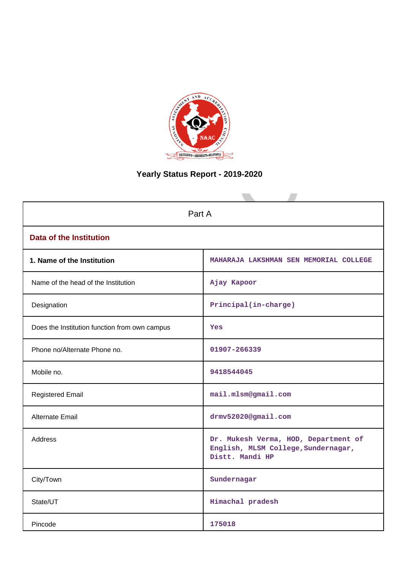

# **Yearly Status Report - 2019-2020**

| Part A                                        |                                                                                                |  |  |  |
|-----------------------------------------------|------------------------------------------------------------------------------------------------|--|--|--|
| <b>Data of the Institution</b>                |                                                                                                |  |  |  |
| 1. Name of the Institution                    | MAHARAJA LAKSHMAN SEN MEMORIAL COLLEGE                                                         |  |  |  |
| Name of the head of the Institution           | Ajay Kapoor                                                                                    |  |  |  |
| Designation                                   | Principal(in-charge)                                                                           |  |  |  |
| Does the Institution function from own campus | Yes                                                                                            |  |  |  |
| Phone no/Alternate Phone no.                  | 01907-266339                                                                                   |  |  |  |
| Mobile no.                                    | 9418544045                                                                                     |  |  |  |
| <b>Registered Email</b>                       | mail.mlsm@gmail.com                                                                            |  |  |  |
| Alternate Email                               | drmv52020@gmail.com                                                                            |  |  |  |
| <b>Address</b>                                | Dr. Mukesh Verma, HOD, Department of<br>English, MLSM College, Sundernagar,<br>Distt. Mandi HP |  |  |  |
| City/Town                                     | Sundernagar                                                                                    |  |  |  |
| State/UT                                      | Himachal pradesh                                                                               |  |  |  |
| Pincode                                       | 175018                                                                                         |  |  |  |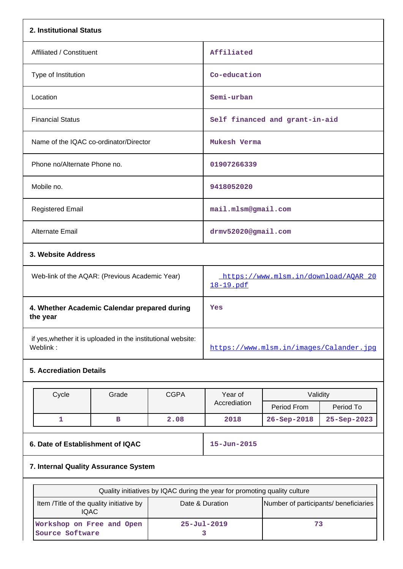| 2. Institutional Status                                  |                                                   |
|----------------------------------------------------------|---------------------------------------------------|
| Affiliated / Constituent                                 | Affiliated                                        |
| Type of Institution                                      | Co-education                                      |
| Location                                                 | Semi-urban                                        |
| <b>Financial Status</b>                                  | Self financed and grant-in-aid                    |
| Name of the IQAC co-ordinator/Director                   | Mukesh Verma                                      |
| Phone no/Alternate Phone no.                             | 01907266339                                       |
| Mobile no.                                               | 9418052020                                        |
| <b>Registered Email</b>                                  | mail.mlsm@gmail.com                               |
| Alternate Email                                          | drmv52020@gmail.com                               |
| 3. Website Address                                       |                                                   |
| Web-link of the AQAR: (Previous Academic Year)           | https://www.mlsm.in/download/AQAR_20<br>18-19.pdf |
| 4. Whether Academic Calendar prepared during<br>the year | Yes                                               |

 if yes,whether it is uploaded in the institutional website: <https://www.mlsm.in/images/Calander.jpg>

# **5. Accrediation Details**

|                                  | Cycle                                | Grade | <b>CGPA</b>       | Year of      | Validity          |                   |  |
|----------------------------------|--------------------------------------|-------|-------------------|--------------|-------------------|-------------------|--|
|                                  |                                      |       |                   | Accrediation | Period From       | Period To         |  |
|                                  |                                      | в     | 2.08              | 2018         | $26 - Sep - 2018$ | $25 - Sep - 2023$ |  |
|                                  |                                      |       |                   |              |                   |                   |  |
| 6. Date of Establishment of IQAC |                                      |       | $15 - Jun - 2015$ |              |                   |                   |  |
|                                  | 7. Internal Quality Assurance System |       |                   |              |                   |                   |  |

| Quality initiatives by IQAC during the year for promoting quality culture                                            |                   |  |  |  |  |
|----------------------------------------------------------------------------------------------------------------------|-------------------|--|--|--|--|
| Number of participants/ beneficiaries<br>Item / Title of the quality initiative by<br>Date & Duration<br><b>IQAC</b> |                   |  |  |  |  |
| Workshop on Free and Open<br>Source Software                                                                         | $25 - Ju1 - 2019$ |  |  |  |  |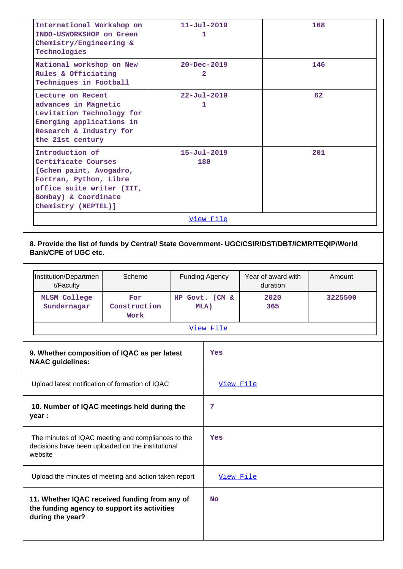|                                                                                                                    | International Workshop on<br>INDO-USWORKSHOP on Green<br>Chemistry/Engineering &<br>Technologies                                                                         |                             |     |                        | $11 - Ju1 - 2019$<br>1   |                                |             | 168     |
|--------------------------------------------------------------------------------------------------------------------|--------------------------------------------------------------------------------------------------------------------------------------------------------------------------|-----------------------------|-----|------------------------|--------------------------|--------------------------------|-------------|---------|
|                                                                                                                    | National workshop on New<br>$20 - Dec - 2019$<br>Rules & Officiating<br>2<br>Techniques in Football                                                                      |                             |     |                        |                          |                                | 146         |         |
|                                                                                                                    | Lecture on Recent<br>advances in Magnetic<br>Levitation Technology for<br>Emerging applications in<br>Research & Industry for<br>the 21st century                        |                             |     | $22 - Jul - 2019$<br>1 |                          |                                | 62          |         |
|                                                                                                                    | Introduction of<br>Certificate Courses<br>[Gchem paint, Avogadro,<br>Fortran, Python, Libre<br>office suite writer (IIT,<br>Bombay) & Coordinate<br>Chemistry (NEPTEL) ] |                             |     |                        | $15 - Ju1 - 2019$<br>180 |                                |             | 201     |
|                                                                                                                    |                                                                                                                                                                          |                             |     |                        | View File                |                                |             |         |
|                                                                                                                    | 8. Provide the list of funds by Central/ State Government- UGC/CSIR/DST/DBT/ICMR/TEQIP/World<br><b>Bank/CPE of UGC etc.</b>                                              |                             |     |                        |                          |                                |             |         |
|                                                                                                                    | Institution/Departmen<br>t/Faculty                                                                                                                                       | Scheme                      |     | Funding Agency         |                          | Year of award with<br>duration |             | Amount  |
|                                                                                                                    | <b>MLSM College</b><br>Sundernagar                                                                                                                                       | For<br>Construction<br>Work |     |                        | HP Govt. (CM &<br>MLA)   |                                | 2020<br>365 | 3225500 |
|                                                                                                                    |                                                                                                                                                                          |                             |     |                        | View File                |                                |             |         |
|                                                                                                                    | 9. Whether composition of IQAC as per latest<br><b>NAAC guidelines:</b>                                                                                                  |                             |     |                        | Yes                      |                                |             |         |
|                                                                                                                    | Upload latest notification of formation of IQAC                                                                                                                          |                             |     |                        | View File                |                                |             |         |
|                                                                                                                    | 10. Number of IQAC meetings held during the<br>year :                                                                                                                    |                             |     |                        | 7                        |                                |             |         |
| The minutes of IQAC meeting and compliances to the<br>decisions have been uploaded on the institutional<br>website |                                                                                                                                                                          |                             | Yes |                        |                          |                                |             |         |
|                                                                                                                    | Upload the minutes of meeting and action taken report                                                                                                                    |                             |     |                        | View File                |                                |             |         |
|                                                                                                                    | 11. Whether IQAC received funding from any of<br>the funding agency to support its activities<br>during the year?                                                        |                             |     |                        | <b>No</b>                |                                |             |         |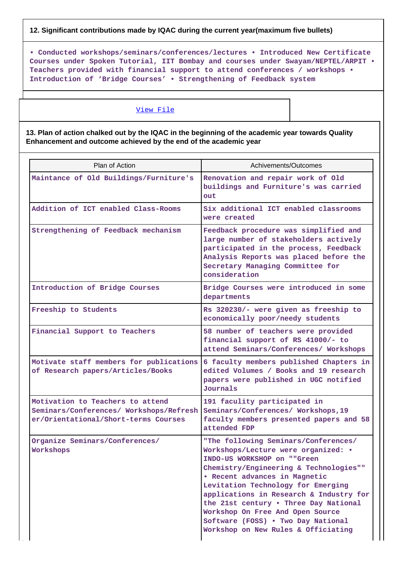## **12. Significant contributions made by IQAC during the current year(maximum five bullets)**

**• Conducted workshops/seminars/conferences/lectures • Introduced New Certificate Courses under Spoken Tutorial, IIT Bombay and courses under Swayam/NEPTEL/ARPIT • Teachers provided with financial support to attend conferences / workshops • Introduction of 'Bridge Courses' • Strengthening of Feedback system**

## [View File](https://assessmentonline.naac.gov.in/public/Postacc/Contribution/11377_Contribution.xlsx)

**13. Plan of action chalked out by the IQAC in the beginning of the academic year towards Quality Enhancement and outcome achieved by the end of the academic year**

| Plan of Action                                                                                                      | Achivements/Outcomes                                                                                                                                                                                                                                                                                                                                                                                                             |  |  |
|---------------------------------------------------------------------------------------------------------------------|----------------------------------------------------------------------------------------------------------------------------------------------------------------------------------------------------------------------------------------------------------------------------------------------------------------------------------------------------------------------------------------------------------------------------------|--|--|
| Maintance of Old Buildings/Furniture's                                                                              | Renovation and repair work of Old<br>buildings and Furniture's was carried<br>out                                                                                                                                                                                                                                                                                                                                                |  |  |
| Addition of ICT enabled Class-Rooms                                                                                 | Six additional ICT enabled classrooms<br>were created                                                                                                                                                                                                                                                                                                                                                                            |  |  |
| Strengthening of Feedback mechanism                                                                                 | Feedback procedure was simplified and<br>large number of stakeholders actively<br>participated in the process, Feedback<br>Analysis Reports was placed before the<br>Secretary Managing Committee for<br>consideration                                                                                                                                                                                                           |  |  |
| Introduction of Bridge Courses                                                                                      | Bridge Courses were introduced in some<br>departments                                                                                                                                                                                                                                                                                                                                                                            |  |  |
| Freeship to Students                                                                                                | Rs 320230/- were given as freeship to<br>economically poor/needy students                                                                                                                                                                                                                                                                                                                                                        |  |  |
| Financial Support to Teachers                                                                                       | 58 number of teachers were provided<br>financial support of RS 41000/- to<br>attend Seminars/Conferences/ Workshops                                                                                                                                                                                                                                                                                                              |  |  |
| Motivate staff members for publications<br>of Research papers/Articles/Books                                        | 6 faculty members published Chapters in<br>edited Volumes / Books and 19 research<br>papers were published in UGC notified<br>Journals                                                                                                                                                                                                                                                                                           |  |  |
| Motivation to Teachers to attend<br>Seminars/Conferences/ Workshops/Refresh<br>er/Orientational/Short-terms Courses | 191 faculity participated in<br>Seminars/Conferences/ Workshops, 19<br>faculty members presented papers and 58<br>attended FDP                                                                                                                                                                                                                                                                                                   |  |  |
| Organize Seminars/Conferences/<br>Workshops                                                                         | "The following Seminars/Conferences/<br>Workshops/Lecture were organized: •<br>INDO-US WORKSHOP on ""Green<br>Chemistry/Engineering & Technologies""<br>. Recent advances in Magnetic<br>Levitation Technology for Emerging<br>applications in Research & Industry for<br>the 21st century . Three Day National<br>Workshop On Free And Open Source<br>Software (FOSS) . Two Day National<br>Workshop on New Rules & Officiating |  |  |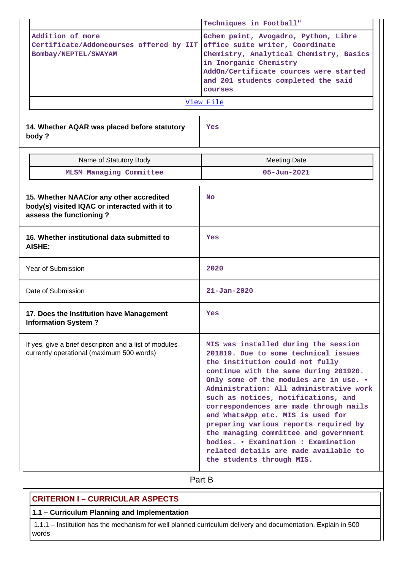|                                                                                                                      | Techniques in Football"                                                                                                                                                                                                                                                                                                                                                                                                                                                                                                                                            |  |  |
|----------------------------------------------------------------------------------------------------------------------|--------------------------------------------------------------------------------------------------------------------------------------------------------------------------------------------------------------------------------------------------------------------------------------------------------------------------------------------------------------------------------------------------------------------------------------------------------------------------------------------------------------------------------------------------------------------|--|--|
| Addition of more<br>Certificate/Addoncourses offered by IIT<br>Bombay/NEPTEL/SWAYAM                                  | Gchem paint, Avogadro, Python, Libre<br>office suite writer, Coordinate<br>Chemistry, Analytical Chemistry, Basics<br>in Inorganic Chemistry<br>AddOn/Certificate cources were started<br>and 201 students completed the said<br>courses<br>View File                                                                                                                                                                                                                                                                                                              |  |  |
|                                                                                                                      |                                                                                                                                                                                                                                                                                                                                                                                                                                                                                                                                                                    |  |  |
| 14. Whether AQAR was placed before statutory<br>body?                                                                | Yes                                                                                                                                                                                                                                                                                                                                                                                                                                                                                                                                                                |  |  |
| Name of Statutory Body                                                                                               | <b>Meeting Date</b>                                                                                                                                                                                                                                                                                                                                                                                                                                                                                                                                                |  |  |
| <b>MLSM Managing Committee</b>                                                                                       | $05 - Jun - 2021$                                                                                                                                                                                                                                                                                                                                                                                                                                                                                                                                                  |  |  |
| 15. Whether NAAC/or any other accredited<br>body(s) visited IQAC or interacted with it to<br>assess the functioning? | <b>No</b>                                                                                                                                                                                                                                                                                                                                                                                                                                                                                                                                                          |  |  |
| 16. Whether institutional data submitted to<br>AISHE:                                                                | Yes                                                                                                                                                                                                                                                                                                                                                                                                                                                                                                                                                                |  |  |
| Year of Submission                                                                                                   | 2020                                                                                                                                                                                                                                                                                                                                                                                                                                                                                                                                                               |  |  |
| Date of Submission                                                                                                   | $21 - Jan - 2020$                                                                                                                                                                                                                                                                                                                                                                                                                                                                                                                                                  |  |  |
| 17. Does the Institution have Management<br><b>Information System?</b>                                               | Yes                                                                                                                                                                                                                                                                                                                                                                                                                                                                                                                                                                |  |  |
| If yes, give a brief descripiton and a list of modules<br>currently operational (maximum 500 words)                  | MIS was installed during the session<br>201819. Due to some technical issues<br>the institution could not fully<br>continue with the same during 201920.<br>Only some of the modules are in use. .<br>Administration: All administrative work<br>such as notices, notifications, and<br>correspondences are made through mails<br>and WhatsApp etc. MIS is used for<br>preparing various reports required by<br>the managing committee and government<br>bodies. • Examination : Examination<br>related details are made available to<br>the students through MIS. |  |  |

# Part B

# **CRITERION I – CURRICULAR ASPECTS**

# **1.1 – Curriculum Planning and Implementation**

 1.1.1 – Institution has the mechanism for well planned curriculum delivery and documentation. Explain in 500 words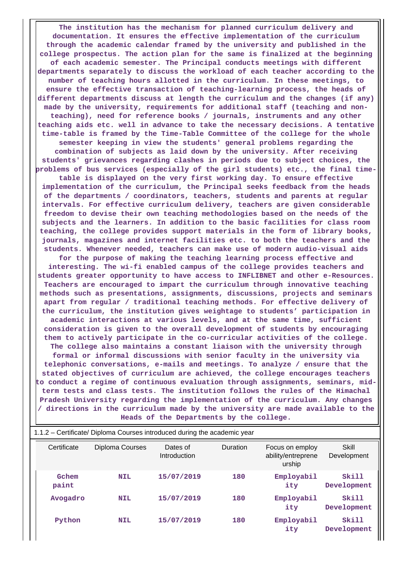**The institution has the mechanism for planned curriculum delivery and documentation. It ensures the effective implementation of the curriculum through the academic calendar framed by the university and published in the college prospectus. The action plan for the same is finalized at the beginning of each academic semester. The Principal conducts meetings with different departments separately to discuss the workload of each teacher according to the number of teaching hours allotted in the curriculum. In these meetings, to ensure the effective transaction of teaching-learning process, the heads of different departments discuss at length the curriculum and the changes (if any) made by the university, requirements for additional staff (teaching and nonteaching), need for reference books / journals, instruments and any other teaching aids etc. well in advance to take the necessary decisions. A tentative time-table is framed by the Time-Table Committee of the college for the whole semester keeping in view the students' general problems regarding the combination of subjects as laid down by the university. After receiving students' grievances regarding clashes in periods due to subject choices, the problems of bus services (especially of the girl students) etc., the final timetable is displayed on the very first working day. To ensure effective implementation of the curriculum, the Principal seeks feedback from the heads of the departments / coordinators, teachers, students and parents at regular intervals. For effective curriculum delivery, teachers are given considerable freedom to devise their own teaching methodologies based on the needs of the subjects and the learners. In addition to the basic facilities for class room teaching, the college provides support materials in the form of library books, journals, magazines and internet facilities etc. to both the teachers and the students. Whenever needed, teachers can make use of modern audio-visual aids for the purpose of making the teaching learning process effective and interesting. The wi-fi enabled campus of the college provides teachers and students greater opportunity to have access to INFLIBNET and other e-Resources. Teachers are encouraged to impart the curriculum through innovative teaching methods such as presentations, assignments, discussions, projects and seminars apart from regular / traditional teaching methods. For effective delivery of the curriculum, the institution gives weightage to students' participation in academic interactions at various levels, and at the same time, sufficient consideration is given to the overall development of students by encouraging them to actively participate in the co-curricular activities of the college. The college also maintains a constant liaison with the university through formal or informal discussions with senior faculty in the university via telephonic conversations, e-mails and meetings. To analyze / ensure that the stated objectives of curriculum are achieved, the college encourages teachers to conduct a regime of continuous evaluation through assignments, seminars, midterm tests and class tests. The institution follows the rules of the Himachal Pradesh University regarding the implementation of the curriculum. Any changes / directions in the curriculum made by the university are made available to the**

**Heads of the Departments by the college.**

| 1.1.2 – Certificate/ Diploma Courses introduced during the academic year |                 |                                 |          |                                                 |                      |  |  |
|--------------------------------------------------------------------------|-----------------|---------------------------------|----------|-------------------------------------------------|----------------------|--|--|
| Certificate                                                              | Diploma Courses | Dates of<br><b>Introduction</b> | Duration | Focus on employ<br>ability/entreprene<br>urship | Skill<br>Development |  |  |
| Gchem<br>paint                                                           | <b>NIL</b>      | 15/07/2019                      | 180      | Employabil<br>ity                               | Skill<br>Development |  |  |
| Avogadro                                                                 | <b>NIL</b>      | 15/07/2019                      | 180      | Employabil<br>ity                               | Skill<br>Development |  |  |
| Python                                                                   | <b>NIL</b>      | 15/07/2019                      | 180      | Employabil<br>ity                               | Skill<br>Development |  |  |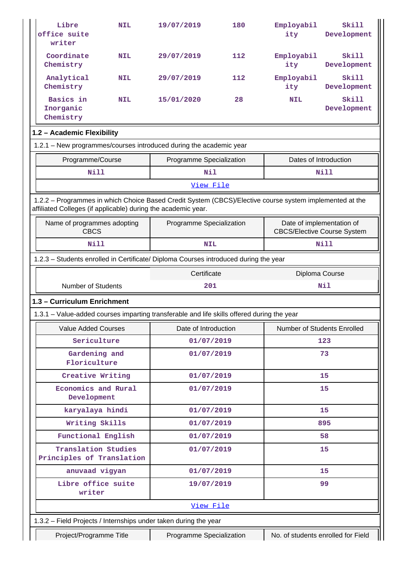| Libre<br>office suite<br>writer                                                                                                                                          | <b>NIL</b>                         | 19/07/2019               | 180        | Employabil<br>ity                                               | Skill<br>Development |  |  |
|--------------------------------------------------------------------------------------------------------------------------------------------------------------------------|------------------------------------|--------------------------|------------|-----------------------------------------------------------------|----------------------|--|--|
| Coordinate<br>Chemistry                                                                                                                                                  | <b>NIL</b>                         | 29/07/2019               | 112        | Employabil<br>ity                                               | Skill<br>Development |  |  |
| Analytical<br>Chemistry                                                                                                                                                  | <b>NIL</b>                         | 29/07/2019               | 112        | Employabil<br>ity                                               | Skill<br>Development |  |  |
| Basics in<br>Inorganic<br>Chemistry                                                                                                                                      | <b>NIL</b>                         | 15/01/2020               | 28         | <b>NIL</b>                                                      | Skill<br>Development |  |  |
| 1.2 - Academic Flexibility                                                                                                                                               |                                    |                          |            |                                                                 |                      |  |  |
| 1.2.1 - New programmes/courses introduced during the academic year                                                                                                       |                                    |                          |            |                                                                 |                      |  |  |
| Programme/Course                                                                                                                                                         |                                    | Programme Specialization |            | Dates of Introduction                                           |                      |  |  |
| <b>Nill</b>                                                                                                                                                              |                                    | Nil                      |            |                                                                 | <b>Nill</b>          |  |  |
|                                                                                                                                                                          |                                    | View File                |            |                                                                 |                      |  |  |
| 1.2.2 - Programmes in which Choice Based Credit System (CBCS)/Elective course system implemented at the<br>affiliated Colleges (if applicable) during the academic year. |                                    |                          |            |                                                                 |                      |  |  |
| Name of programmes adopting<br><b>CBCS</b>                                                                                                                               |                                    | Programme Specialization |            | Date of implementation of<br><b>CBCS/Elective Course System</b> |                      |  |  |
| <b>Nill</b>                                                                                                                                                              |                                    | <b>NIL</b>               |            | <b>Nill</b>                                                     |                      |  |  |
| 1.2.3 - Students enrolled in Certificate/ Diploma Courses introduced during the year                                                                                     |                                    |                          |            |                                                                 |                      |  |  |
|                                                                                                                                                                          |                                    | Certificate              |            | Diploma Course                                                  |                      |  |  |
| <b>Number of Students</b>                                                                                                                                                |                                    | 201                      |            |                                                                 | Nil                  |  |  |
| 1.3 - Curriculum Enrichment                                                                                                                                              |                                    |                          |            |                                                                 |                      |  |  |
| 1.3.1 – Value-added courses imparting transferable and life skills offered during the year                                                                               |                                    |                          |            |                                                                 |                      |  |  |
| <b>Value Added Courses</b>                                                                                                                                               |                                    | Date of Introduction     |            | Number of Students Enrolled                                     |                      |  |  |
| Sericulture                                                                                                                                                              |                                    | 01/07/2019               |            | 123                                                             |                      |  |  |
| Gardening and<br>Floriculture                                                                                                                                            |                                    | 01/07/2019               |            | 73                                                              |                      |  |  |
| Creative Writing                                                                                                                                                         |                                    | 01/07/2019               |            | 15                                                              |                      |  |  |
|                                                                                                                                                                          | Economics and Rural<br>Development |                          | 01/07/2019 |                                                                 | 15                   |  |  |
| karyalaya hindi                                                                                                                                                          |                                    |                          |            | 15                                                              |                      |  |  |
|                                                                                                                                                                          |                                    | 01/07/2019               |            |                                                                 |                      |  |  |
| Writing Skills                                                                                                                                                           |                                    | 01/07/2019               |            |                                                                 | 895                  |  |  |
| Functional English                                                                                                                                                       |                                    | 01/07/2019               |            |                                                                 | 58                   |  |  |
| Translation Studies<br>Principles of Translation                                                                                                                         |                                    | 01/07/2019               |            |                                                                 | 15                   |  |  |
| anuvaad vigyan                                                                                                                                                           |                                    | 01/07/2019               |            |                                                                 | 15                   |  |  |
| Libre office suite<br>writer                                                                                                                                             |                                    | 19/07/2019               |            |                                                                 | 99                   |  |  |
|                                                                                                                                                                          |                                    | View File                |            |                                                                 |                      |  |  |
| 1.3.2 - Field Projects / Internships under taken during the year                                                                                                         |                                    |                          |            |                                                                 |                      |  |  |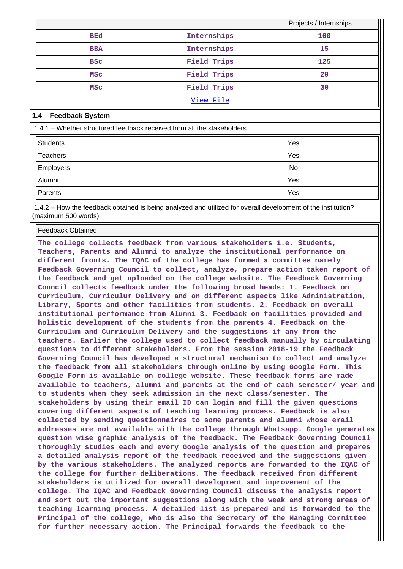|                                                                         |             | Projects / Internships |  |  |
|-------------------------------------------------------------------------|-------------|------------------------|--|--|
| <b>BEd</b>                                                              | Internships | 100                    |  |  |
| <b>BBA</b>                                                              | Internships | 15                     |  |  |
| <b>BSC</b>                                                              | Field Trips | 125                    |  |  |
| <b>MSC</b>                                                              | Field Trips | 29                     |  |  |
| MSC                                                                     | Field Trips | 30                     |  |  |
|                                                                         | View File   |                        |  |  |
| 1.4 - Feedback System                                                   |             |                        |  |  |
| 1.4.1 - Whether structured feedback received from all the stakeholders. |             |                        |  |  |
| <b>Students</b>                                                         |             | Yes                    |  |  |
| <b>Teachers</b>                                                         |             | Yes                    |  |  |
| <b>Employers</b>                                                        |             | No                     |  |  |

Alumni Yes Parents Yes

 1.4.2 – How the feedback obtained is being analyzed and utilized for overall development of the institution? (maximum 500 words)

Feedback Obtained

**The college collects feedback from various stakeholders i.e. Students, Teachers, Parents and Alumni to analyze the institutional performance on different fronts. The IQAC of the college has formed a committee namely Feedback Governing Council to collect, analyze, prepare action taken report of the feedback and get uploaded on the college website. The Feedback Governing Council collects feedback under the following broad heads: 1. Feedback on Curriculum, Curriculum Delivery and on different aspects like Administration, Library, Sports and other facilities from students. 2. Feedback on overall institutional performance from Alumni 3. Feedback on facilities provided and holistic development of the students from the parents 4. Feedback on the Curriculum and Curriculum Delivery and the suggestions if any from the teachers. Earlier the college used to collect feedback manually by circulating questions to different stakeholders. From the session 2018-19 the Feedback Governing Council has developed a structural mechanism to collect and analyze the feedback from all stakeholders through online by using Google Form. This Google Form is available on college website. These feedback forms are made available to teachers, alumni and parents at the end of each semester/ year and to students when they seek admission in the next class/semester. The stakeholders by using their email ID can login and fill the given questions covering different aspects of teaching learning process. Feedback is also collected by sending questionnaires to some parents and alumni whose email addresses are not available with the college through Whatsapp. Google generates question wise graphic analysis of the feedback. The Feedback Governing Council thoroughly studies each and every Google analysis of the question and prepares a detailed analysis report of the feedback received and the suggestions given by the various stakeholders. The analyzed reports are forwarded to the IQAC of the college for further deliberations. The feedback received from different stakeholders is utilized for overall development and improvement of the college. The IQAC and Feedback Governing Council discuss the analysis report and sort out the important suggestions along with the weak and strong areas of teaching learning process. A detailed list is prepared and is forwarded to the Principal of the college, who is also the Secretary of the Managing Committee for further necessary action. The Principal forwards the feedback to the**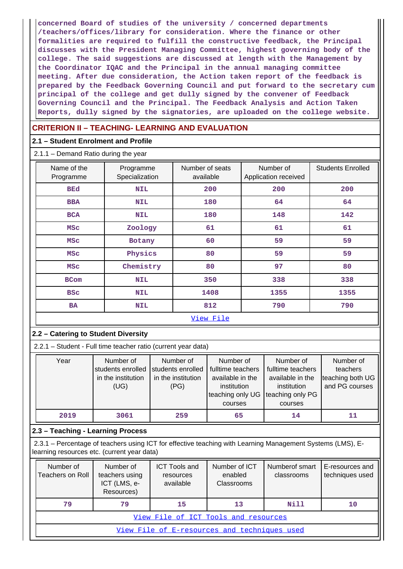**concerned Board of studies of the university / concerned departments /teachers/offices/library for consideration. Where the finance or other formalities are required to fulfill the constructive feedback, the Principal discusses with the President Managing Committee, highest governing body of the college. The said suggestions are discussed at length with the Management by the Coordinator IQAC and the Principal in the annual managing committee meeting. After due consideration, the Action taken report of the feedback is prepared by the Feedback Governing Council and put forward to the secretary cum principal of the college and get dully signed by the convener of Feedback Governing Council and the Principal. The Feedback Analysis and Action Taken Reports, dully signed by the signatories, are uploaded on the college website.**

## **CRITERION II – TEACHING- LEARNING AND EVALUATION**

## **2.1 – Student Enrolment and Profile**

2.1.1 – Demand Ratio during the year

| Name of the<br>Programme | Programme<br>Specialization | Number of seats<br>available | Number of<br>Application received | <b>Students Enrolled</b> |
|--------------------------|-----------------------------|------------------------------|-----------------------------------|--------------------------|
| <b>BEd</b>               | <b>NIL</b>                  | 200                          | 200                               | 200                      |
| <b>BBA</b>               | <b>NIL</b>                  | 180                          | 64                                | 64                       |
| <b>BCA</b>               | <b>NIL</b>                  | 180                          | 148                               | 142                      |
| <b>MSC</b>               | Zoology                     | 61                           | 61                                | 61                       |
| <b>MSC</b>               | Botany                      | 60                           | 59                                | 59                       |
| <b>MSC</b>               | Physics                     | 80                           | 59                                | 59                       |
| <b>MSC</b>               | Chemistry                   | 80                           | 97                                | 80                       |
| <b>BCom</b>              | <b>NIL</b>                  | 350                          | 338                               | 338                      |
| <b>BSC</b>               | <b>NIL</b>                  | 1408                         | 1355                              | 1355                     |
| <b>BA</b>                | <b>NIL</b>                  | 812                          | 790                               | 790                      |
|                          |                             | View File                    |                                   |                          |

## **2.2 – Catering to Student Diversity**

2.2.1 – Student - Full time teacher ratio (current year data)

| Year | Number of          | Number of          | Number of                         | Number of         | Number of        |
|------|--------------------|--------------------|-----------------------------------|-------------------|------------------|
|      | students enrolled  | students enrolled  | fulltime teachers                 | fulltime teachers | teachers         |
|      | in the institution | in the institution | available in the                  | available in the  | teaching both UG |
|      | (UG)               | (PG)               | institution                       | institution       | and PG courses   |
|      |                    |                    | teaching only UG teaching only PG |                   |                  |
|      |                    |                    | courses                           | courses           |                  |
| 2019 | 3061               | 259                | 65                                | 14                | 11               |

## **2.3 – Teaching - Learning Process**

 2.3.1 – Percentage of teachers using ICT for effective teaching with Learning Management Systems (LMS), Elearning resources etc. (current year data)

| Number of<br>Teachers on Roll                | Number of<br>teachers using<br>ICT (LMS, e-<br>Resources) | <b>ICT Tools and</b><br>resources<br>available | Number of ICT<br>enabled<br>Classrooms | Numberof smart<br>classrooms | E-resources and<br>techniques used |  |  |
|----------------------------------------------|-----------------------------------------------------------|------------------------------------------------|----------------------------------------|------------------------------|------------------------------------|--|--|
| 79                                           | 79                                                        | 15                                             | 13                                     | Nill                         | 10                                 |  |  |
| View File of ICT Tools and resources         |                                                           |                                                |                                        |                              |                                    |  |  |
| View File of E-resources and techniques used |                                                           |                                                |                                        |                              |                                    |  |  |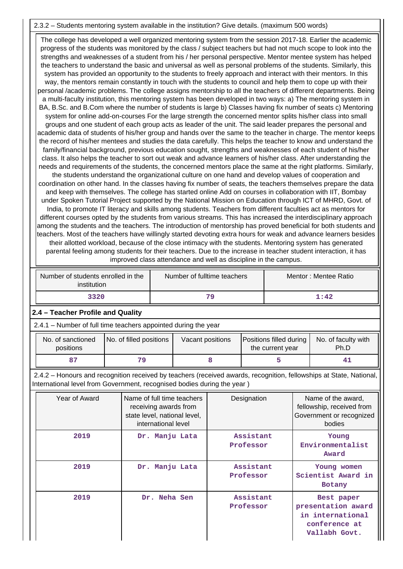## 2.3.2 – Students mentoring system available in the institution? Give details. (maximum 500 words)

 The college has developed a well organized mentoring system from the session 2017-18. Earlier the academic progress of the students was monitored by the class / subject teachers but had not much scope to look into the strengths and weaknesses of a student from his / her personal perspective. Mentor mentee system has helped the teachers to understand the basic and universal as well as personal problems of the students. Similarly, this system has provided an opportunity to the students to freely approach and interact with their mentors. In this way, the mentors remain constantly in touch with the students to council and help them to cope up with their personal /academic problems. The college assigns mentorship to all the teachers of different departments. Being a multi-faculty institution, this mentoring system has been developed in two ways: a) The mentoring system in BA, B.Sc. and B.Com where the number of students is large b) Classes having fix number of seats c) Mentoring system for online add-on-courses For the large strength the concerned mentor splits his/her class into small groups and one student of each group acts as leader of the unit. The said leader prepares the personal and academic data of students of his/her group and hands over the same to the teacher in charge. The mentor keeps the record of his/her mentees and studies the data carefully. This helps the teacher to know and understand the family/financial background, previous education sought, strengths and weaknesses of each student of his/her class. It also helps the teacher to sort out weak and advance learners of his/her class. After understanding the needs and requirements of the students, the concerned mentors place the same at the right platforms. Similarly, the students understand the organizational culture on one hand and develop values of cooperation and coordination on other hand. In the classes having fix number of seats, the teachers themselves prepare the data and keep with themselves. The college has started online Add on courses in collaboration with IIT, Bombay under Spoken Tutorial Project supported by the National Mission on Education through ICT of MHRD, Govt. of India, to promote IT literacy and skills among students. Teachers from different faculties act as mentors for different courses opted by the students from various streams. This has increased the interdisciplinary approach among the students and the teachers. The introduction of mentorship has proved beneficial for both students and teachers. Most of the teachers have willingly started devoting extra hours for weak and advance learners besides their allotted workload, because of the close intimacy with the students. Mentoring system has generated parental feeling among students for their teachers. Due to the increase in teacher student interaction, it has improved class attendance and well as discipline in the campus.

| Number of students enrolled in the<br>institution | Number of fulltime teachers | Mentor: Mentee Ratio |
|---------------------------------------------------|-----------------------------|----------------------|
| 3320                                              | 79                          | 1:42                 |

## **2.4 – Teacher Profile and Quality**

2.4.1 – Number of full time teachers appointed during the year

| No. of sanctioned<br>positions | No. of filled positions | Vacant positions | Positions filled during<br>the current year | No. of faculty with<br>Ph.D |
|--------------------------------|-------------------------|------------------|---------------------------------------------|-----------------------------|
| 87                             | ם ל                     |                  |                                             |                             |

 2.4.2 – Honours and recognition received by teachers (received awards, recognition, fellowships at State, National, International level from Government, recognised bodies during the year )

| Year of Award | Name of full time teachers<br>receiving awards from<br>state level, national level,<br>international level | Designation            | Name of the award,<br>fellowship, received from<br>Government or recognized<br>bodies  |
|---------------|------------------------------------------------------------------------------------------------------------|------------------------|----------------------------------------------------------------------------------------|
| 2019          | Dr. Manju Lata                                                                                             | Assistant<br>Professor | Young<br>Environmentalist<br>Award                                                     |
| 2019          | Dr. Manju Lata                                                                                             | Assistant<br>Professor | Young women<br>Scientist Award in<br><b>Botany</b>                                     |
| 2019          | Dr. Neha Sen                                                                                               | Assistant<br>Professor | Best paper<br>presentation award<br>in international<br>conference at<br>Vallabh Govt. |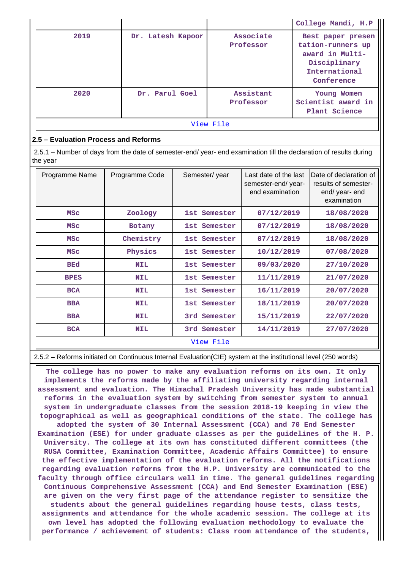|           |                   |                        | College Mandi, H.P                                                                                       |  |  |  |  |  |
|-----------|-------------------|------------------------|----------------------------------------------------------------------------------------------------------|--|--|--|--|--|
| 2019      | Dr. Latesh Kapoor | Associate<br>Professor | Best paper presen<br>tation-runners up<br>award in Multi-<br>Disciplinary<br>International<br>Conference |  |  |  |  |  |
| 2020      | Dr. Parul Goel    | Assistant<br>Professor | Young Women<br>Scientist award in<br>Plant Science                                                       |  |  |  |  |  |
| View File |                   |                        |                                                                                                          |  |  |  |  |  |

## **2.5 – Evaluation Process and Reforms**

 2.5.1 – Number of days from the date of semester-end/ year- end examination till the declaration of results during the year

| Programme Name | Programme Code | Semester/year | Last date of the last<br>semester-end/year-<br>end examination | <b>IDate of declaration of</b><br>results of semester-<br>end/ year- end<br>examination |
|----------------|----------------|---------------|----------------------------------------------------------------|-----------------------------------------------------------------------------------------|
| <b>MSC</b>     | Zoology        | 1st Semester  | 07/12/2019                                                     | 18/08/2020                                                                              |
| <b>MSC</b>     | Botany         | 1st Semester  | 07/12/2019                                                     | 18/08/2020                                                                              |
| <b>MSC</b>     | Chemistry      | 1st Semester  | 07/12/2019                                                     | 18/08/2020                                                                              |
| <b>MSC</b>     | Physics        | 1st Semester  | 10/12/2019                                                     | 07/08/2020                                                                              |
| <b>BEd</b>     | <b>NIL</b>     | 1st Semester  | 09/03/2020                                                     | 27/10/2020                                                                              |
| <b>BPES</b>    | <b>NIL</b>     | 1st Semester  | 11/11/2019                                                     | 21/07/2020                                                                              |
| <b>BCA</b>     | <b>NIL</b>     | 1st Semester  | 16/11/2019                                                     | 20/07/2020                                                                              |
| <b>BBA</b>     | <b>NIL</b>     | 1st Semester  | 18/11/2019                                                     | 20/07/2020                                                                              |
| <b>BBA</b>     | <b>NIL</b>     | 3rd Semester  | 15/11/2019                                                     | 22/07/2020                                                                              |
| <b>BCA</b>     | <b>NIL</b>     | 3rd Semester  | 14/11/2019                                                     | 27/07/2020                                                                              |
|                |                | View File     |                                                                |                                                                                         |

#### 2.5.2 – Reforms initiated on Continuous Internal Evaluation(CIE) system at the institutional level (250 words)

 **The college has no power to make any evaluation reforms on its own. It only implements the reforms made by the affiliating university regarding internal assessment and evaluation. The Himachal Pradesh University has made substantial reforms in the evaluation system by switching from semester system to annual system in undergraduate classes from the session 2018-19 keeping in view the topographical as well as geographical conditions of the state. The college has adopted the system of 30 Internal Assessment (CCA) and 70 End Semester Examination (ESE) for under graduate classes as per the guidelines of the H. P. University. The college at its own has constituted different committees (the RUSA Committee, Examination Committee, Academic Affairs Committee) to ensure the effective implementation of the evaluation reforms. All the notifications regarding evaluation reforms from the H.P. University are communicated to the faculty through office circulars well in time. The general guidelines regarding Continuous Comprehensive Assessment (CCA) and End Semester Examination (ESE) are given on the very first page of the attendance register to sensitize the students about the general guidelines regarding house tests, class tests, assignments and attendance for the whole academic session. The college at its own level has adopted the following evaluation methodology to evaluate the performance / achievement of students: Class room attendance of the students,**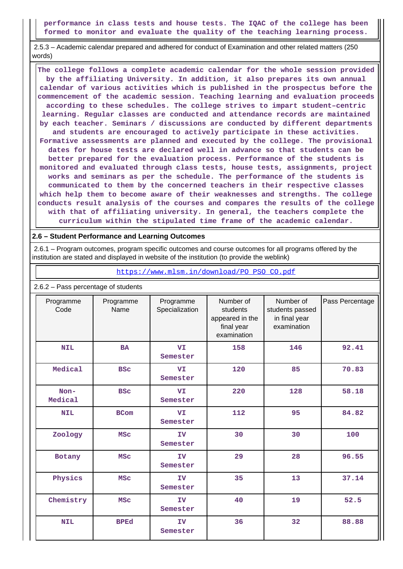**performance in class tests and house tests. The IQAC of the college has been formed to monitor and evaluate the quality of the teaching learning process.**

 2.5.3 – Academic calendar prepared and adhered for conduct of Examination and other related matters (250 words)

 **The college follows a complete academic calendar for the whole session provided by the affiliating University. In addition, it also prepares its own annual calendar of various activities which is published in the prospectus before the commencement of the academic session. Teaching learning and evaluation proceeds according to these schedules. The college strives to impart student–centric learning. Regular classes are conducted and attendance records are maintained by each teacher. Seminars / discussions are conducted by different departments and students are encouraged to actively participate in these activities. Formative assessments are planned and executed by the college. The provisional dates for house tests are declared well in advance so that students can be better prepared for the evaluation process. Performance of the students is monitored and evaluated through class tests, house tests, assignments, project works and seminars as per the schedule. The performance of the students is communicated to them by the concerned teachers in their respective classes which help them to become aware of their weaknesses and strengths. The college conducts result analysis of the courses and compares the results of the college with that of affiliating university. In general, the teachers complete the curriculum within the stipulated time frame of the academic calendar.**

#### **2.6 – Student Performance and Learning Outcomes**

 2.6.1 – Program outcomes, program specific outcomes and course outcomes for all programs offered by the institution are stated and displayed in website of the institution (to provide the weblink)

| https://www.mlsm.in/download/PO PSO CO.pdf |                                                  |                       |     |                                                              |                 |  |  |  |  |
|--------------------------------------------|--------------------------------------------------|-----------------------|-----|--------------------------------------------------------------|-----------------|--|--|--|--|
| 2.6.2 - Pass percentage of students        |                                                  |                       |     |                                                              |                 |  |  |  |  |
| Programme<br>Code                          | Programme<br>Programme<br>Name<br>Specialization |                       |     | Number of<br>students passed<br>in final year<br>examination | Pass Percentage |  |  |  |  |
| <b>NIL</b>                                 | <b>BA</b>                                        | VI<br>Semester        | 158 | 146                                                          | 92.41           |  |  |  |  |
| Medical                                    | <b>BSC</b>                                       | VI<br>Semester        | 120 | 85                                                           | 70.83           |  |  |  |  |
| $Non-$<br>Medical                          | <b>BSC</b>                                       | VI<br>Semester        | 220 | 128                                                          | 58.18           |  |  |  |  |
| <b>NIL</b>                                 | <b>BCom</b>                                      | <b>VI</b><br>Semester | 112 | 95                                                           | 84.82           |  |  |  |  |
| Zoology                                    | <b>MSC</b>                                       | <b>IV</b><br>Semester | 30  | 30                                                           | 100             |  |  |  |  |
| Botany                                     | <b>MSC</b>                                       | IV<br>Semester        | 29  | 28                                                           | 96.55           |  |  |  |  |
| Physics                                    | <b>MSC</b>                                       | IV<br>Semester        | 35  | 13                                                           | 37.14           |  |  |  |  |
| Chemistry                                  | <b>MSC</b>                                       | <b>IV</b><br>Semester | 40  | 19                                                           | 52.5            |  |  |  |  |
| <b>NIL</b>                                 | <b>BPEd</b>                                      | IV<br>Semester        | 36  | 32                                                           | 88.88           |  |  |  |  |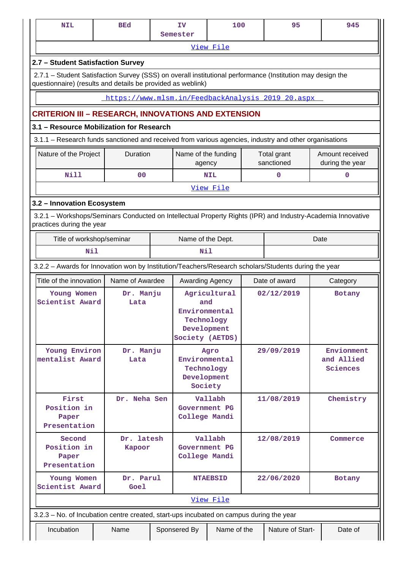| <b>NIL</b>                                                                                                                                                                | <b>BEd</b>           |  | IV<br>Semester                                                       | 100             |          | 95                                                | 945                                  |  |
|---------------------------------------------------------------------------------------------------------------------------------------------------------------------------|----------------------|--|----------------------------------------------------------------------|-----------------|----------|---------------------------------------------------|--------------------------------------|--|
|                                                                                                                                                                           | View File            |  |                                                                      |                 |          |                                                   |                                      |  |
| 2.7 - Student Satisfaction Survey                                                                                                                                         |                      |  |                                                                      |                 |          |                                                   |                                      |  |
| 2.7.1 - Student Satisfaction Survey (SSS) on overall institutional performance (Institution may design the<br>questionnaire) (results and details be provided as weblink) |                      |  |                                                                      |                 |          |                                                   |                                      |  |
|                                                                                                                                                                           |                      |  |                                                                      |                 |          | https://www.mlsm.in/FeedbackAnalysis 2019 20.aspx |                                      |  |
| <b>CRITERION III - RESEARCH, INNOVATIONS AND EXTENSION</b>                                                                                                                |                      |  |                                                                      |                 |          |                                                   |                                      |  |
| 3.1 - Resource Mobilization for Research                                                                                                                                  |                      |  |                                                                      |                 |          |                                                   |                                      |  |
| 3.1.1 - Research funds sanctioned and received from various agencies, industry and other organisations                                                                    |                      |  |                                                                      |                 |          |                                                   |                                      |  |
| Nature of the Project                                                                                                                                                     | Duration             |  | Name of the funding<br>agency                                        |                 |          | Total grant<br>sanctioned                         | Amount received<br>during the year   |  |
| <b>Nill</b>                                                                                                                                                               | 0 <sub>0</sub>       |  |                                                                      | <b>NIL</b>      |          | $\mathbf 0$                                       | $\mathbf 0$                          |  |
|                                                                                                                                                                           |                      |  |                                                                      | View File       |          |                                                   |                                      |  |
| 3.2 - Innovation Ecosystem                                                                                                                                                |                      |  |                                                                      |                 |          |                                                   |                                      |  |
| 3.2.1 - Workshops/Seminars Conducted on Intellectual Property Rights (IPR) and Industry-Academia Innovative<br>practices during the year                                  |                      |  |                                                                      |                 |          |                                                   |                                      |  |
| Title of workshop/seminar                                                                                                                                                 |                      |  | Name of the Dept.                                                    |                 |          |                                                   | Date                                 |  |
| Nil                                                                                                                                                                       |                      |  | Nil                                                                  |                 |          |                                                   |                                      |  |
| 3.2.2 - Awards for Innovation won by Institution/Teachers/Research scholars/Students during the year                                                                      |                      |  |                                                                      |                 |          |                                                   |                                      |  |
| Title of the innovation                                                                                                                                                   | Name of Awardee      |  | Awarding Agency                                                      |                 |          | Date of award                                     | Category                             |  |
| Young Women<br>Scientist Award                                                                                                                                            | Dr. Manju<br>Lata    |  | and<br>Environmental<br>Technology<br>Development<br>Society (AETDS) | Agricultural    |          | 02/12/2019                                        | Botany                               |  |
| Young Environ<br>mentalist Award                                                                                                                                          | Dr. Manju<br>Lata    |  | Environmental<br>Technology<br>Development<br>Society                | Agro            |          | 29/09/2019                                        | Envionment<br>and Allied<br>Sciences |  |
| First<br>Position in<br>Paper<br>Presentation                                                                                                                             | Dr. Neha Sen         |  | Government PG<br>College Mandi                                       | Vallabh         |          | 11/08/2019                                        | Chemistry                            |  |
| Second<br>Position in<br>Paper<br>Presentation                                                                                                                            | Dr. latesh<br>Kapoor |  | Vallabh<br>12/08/2019<br>Government PG<br>College Mandi              |                 | Commerce |                                                   |                                      |  |
| Young Women<br>Scientist Award                                                                                                                                            | Dr. Parul<br>Goel    |  |                                                                      | <b>NTAEBSID</b> |          | 22/06/2020                                        | Botany                               |  |
|                                                                                                                                                                           |                      |  |                                                                      | View File       |          |                                                   |                                      |  |
| 3.2.3 - No. of Incubation centre created, start-ups incubated on campus during the year                                                                                   |                      |  |                                                                      |                 |          |                                                   |                                      |  |
| Incubation                                                                                                                                                                | Name                 |  | Sponsered By                                                         | Name of the     |          | Nature of Start-                                  | Date of                              |  |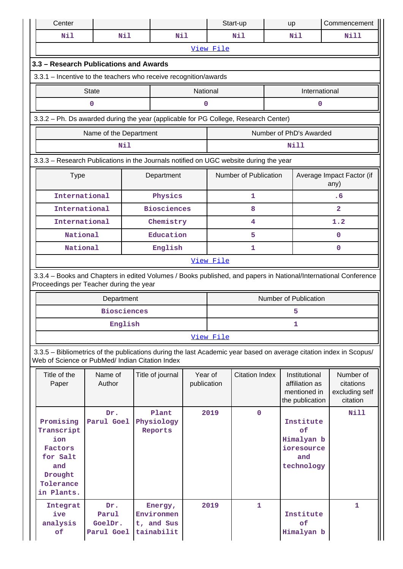| Center                                                                                             |                                       |  |                                                   |                        |           | Start-up              |  | up                                                                 | Commencement                                                                                                       |  |
|----------------------------------------------------------------------------------------------------|---------------------------------------|--|---------------------------------------------------|------------------------|-----------|-----------------------|--|--------------------------------------------------------------------|--------------------------------------------------------------------------------------------------------------------|--|
| Nil                                                                                                | Nil                                   |  | Nil                                               |                        |           | Nil                   |  | Nil                                                                | Nill                                                                                                               |  |
| View File                                                                                          |                                       |  |                                                   |                        |           |                       |  |                                                                    |                                                                                                                    |  |
| 3.3 - Research Publications and Awards                                                             |                                       |  |                                                   |                        |           |                       |  |                                                                    |                                                                                                                    |  |
| 3.3.1 - Incentive to the teachers who receive recognition/awards                                   |                                       |  |                                                   |                        |           |                       |  |                                                                    |                                                                                                                    |  |
|                                                                                                    | <b>State</b>                          |  |                                                   | National               |           |                       |  | International                                                      |                                                                                                                    |  |
|                                                                                                    | $\mathbf 0$                           |  |                                                   | 0                      |           |                       |  | 0                                                                  |                                                                                                                    |  |
| 3.3.2 - Ph. Ds awarded during the year (applicable for PG College, Research Center)                |                                       |  |                                                   |                        |           |                       |  |                                                                    |                                                                                                                    |  |
|                                                                                                    | Name of the Department                |  |                                                   |                        |           |                       |  | Number of PhD's Awarded                                            |                                                                                                                    |  |
|                                                                                                    | Nil                                   |  |                                                   |                        |           |                       |  | Nill                                                               |                                                                                                                    |  |
| 3.3.3 - Research Publications in the Journals notified on UGC website during the year              |                                       |  |                                                   |                        |           |                       |  |                                                                    |                                                                                                                    |  |
| <b>Type</b>                                                                                        |                                       |  | Department                                        |                        |           | Number of Publication |  |                                                                    | Average Impact Factor (if<br>any)                                                                                  |  |
| International                                                                                      |                                       |  | Physics                                           |                        |           | 1                     |  |                                                                    | .6                                                                                                                 |  |
| International                                                                                      |                                       |  | <b>Biosciences</b>                                |                        |           | 8                     |  |                                                                    | $\overline{2}$                                                                                                     |  |
| International                                                                                      |                                       |  | Chemistry                                         |                        |           | 4                     |  |                                                                    | 1.2                                                                                                                |  |
| National                                                                                           |                                       |  | Education                                         |                        |           | 5                     |  |                                                                    | $\Omega$                                                                                                           |  |
| National                                                                                           |                                       |  | English                                           |                        | 1         |                       |  | $\mathbf 0$                                                        |                                                                                                                    |  |
|                                                                                                    |                                       |  |                                                   |                        | View File |                       |  |                                                                    |                                                                                                                    |  |
| Proceedings per Teacher during the year                                                            |                                       |  |                                                   |                        |           |                       |  |                                                                    | 3.3.4 - Books and Chapters in edited Volumes / Books published, and papers in National/International Conference    |  |
|                                                                                                    | Department                            |  |                                                   |                        |           |                       |  | Number of Publication                                              |                                                                                                                    |  |
|                                                                                                    | <b>Biosciences</b>                    |  |                                                   |                        |           |                       |  | 5                                                                  |                                                                                                                    |  |
|                                                                                                    | English                               |  |                                                   |                        |           |                       |  | 1                                                                  |                                                                                                                    |  |
|                                                                                                    |                                       |  |                                                   |                        | View File |                       |  |                                                                    |                                                                                                                    |  |
| Web of Science or PubMed/ Indian Citation Index                                                    |                                       |  |                                                   |                        |           |                       |  |                                                                    | 3.3.5 - Bibliometrics of the publications during the last Academic year based on average citation index in Scopus/ |  |
| Title of the<br>Paper                                                                              | Name of<br>Author                     |  | Title of journal                                  | Year of<br>publication |           | <b>Citation Index</b> |  | Institutional<br>affiliation as<br>mentioned in<br>the publication | Number of<br>citations<br>excluding self<br>citation                                                               |  |
| Promising<br>Transcript<br>ion<br>Factors<br>for Salt<br>and<br>Drought<br>Tolerance<br>in Plants. | Dr.<br>Parul Goel                     |  | Plant<br>Physiology<br>Reports                    |                        | 2019      | $\mathbf 0$           |  | Institute<br>of<br>Himalyan b<br>ioresource<br>and<br>technology   | <b>Nill</b>                                                                                                        |  |
| Integrat<br>ive<br>analysis<br>of                                                                  | Dr.<br>Parul<br>GoelDr.<br>Parul Goel |  | Energy,<br>Environmen<br>t, and Sus<br>tainabilit |                        | 2019      | $\mathbf{1}$          |  | Institute<br>of<br>Himalyan b                                      | $\mathbf{1}$                                                                                                       |  |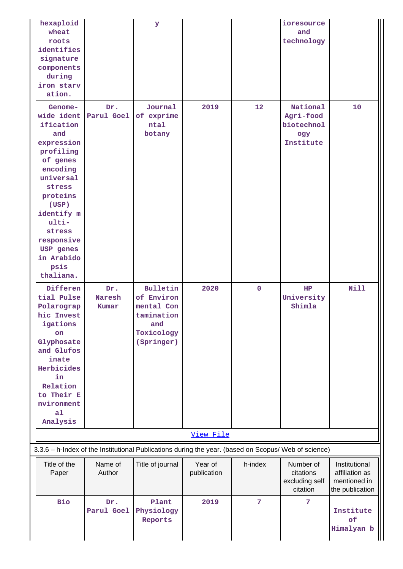| hexaploid<br>wheat<br>roots<br>identifies<br>signature<br>components<br>during<br>iron starv<br>ation.                                                                                                                                      |                        | У                                                                                                    |                        |                 | ioresource<br>and<br>technology                         |                                                                    |
|---------------------------------------------------------------------------------------------------------------------------------------------------------------------------------------------------------------------------------------------|------------------------|------------------------------------------------------------------------------------------------------|------------------------|-----------------|---------------------------------------------------------|--------------------------------------------------------------------|
| Genome-<br>wide ident  <br>ification<br>and<br>expression<br>profiling<br>of genes<br>encoding<br>universal<br>stress<br>proteins<br>(USP)<br>identify m<br>$ulti-$<br>stress<br>responsive<br>USP genes<br>in Arabido<br>psis<br>thaliana. | Dr.<br>Parul Goel      | Journal<br>of exprime<br>ntal<br>botany                                                              | 2019                   | 12 <sub>2</sub> | National<br>Agri-food<br>biotechnol<br>ogy<br>Institute | 10 <sub>1</sub>                                                    |
| Differen<br>tial Pulse<br>Polarograp<br>hic Invest<br>igations<br>on<br>Glyphosate<br>and Glufos<br>inate<br>Herbicides<br>in<br>Relation<br>to Their E<br>nvironment<br>a <sub>1</sub><br>Analysis                                         | Dr.<br>Naresh<br>Kumar | Bulletin<br>of Environ<br>mental Con<br>tamination<br>and<br>Toxicology<br>(Springer)                | 2020                   | $\mathbf{0}$    | HP<br>University<br>Shimla                              | <b>Nill</b>                                                        |
|                                                                                                                                                                                                                                             |                        |                                                                                                      | View File              |                 |                                                         |                                                                    |
|                                                                                                                                                                                                                                             |                        | 3.3.6 - h-Index of the Institutional Publications during the year. (based on Scopus/ Web of science) |                        |                 |                                                         |                                                                    |
| Title of the<br>Paper                                                                                                                                                                                                                       | Name of<br>Author      | Title of journal                                                                                     | Year of<br>publication | h-index         | Number of<br>citations<br>excluding self<br>citation    | Institutional<br>affiliation as<br>mentioned in<br>the publication |
| <b>Bio</b>                                                                                                                                                                                                                                  | Dr.<br>Parul Goel      | Plant<br>Physiology<br>Reports                                                                       | 2019                   | $\overline{7}$  | 7                                                       | Institute<br>of<br>Himalyan b                                      |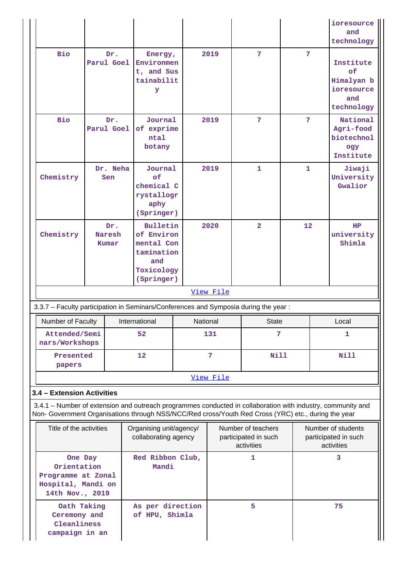|                                                                                                                                                                                                                    |                                                                                 |  |                                                                                       |     |           |                                                          |              | ioresource<br>and                                                              |
|--------------------------------------------------------------------------------------------------------------------------------------------------------------------------------------------------------------------|---------------------------------------------------------------------------------|--|---------------------------------------------------------------------------------------|-----|-----------|----------------------------------------------------------|--------------|--------------------------------------------------------------------------------|
| <b>Bio</b>                                                                                                                                                                                                         | Dr.<br>Parul Goel                                                               |  | Energy,<br>Environmen<br>t, and Sus<br>tainabilit<br>У                                |     | 2019      | $\overline{7}$                                           | 7            | technology<br>Institute<br>оf<br>Himalyan b<br>ioresource<br>and<br>technology |
| <b>Bio</b>                                                                                                                                                                                                         | Dr.<br>Parul Goel                                                               |  | Journal<br>of exprime<br>ntal<br>botany                                               |     | 2019      | $\overline{7}$                                           | 7            | National<br>Agri-food<br>biotechnol<br>ogy<br>Institute                        |
| Chemistry                                                                                                                                                                                                          | Dr. Neha<br>Sen                                                                 |  | Journal<br>of<br>chemical C<br>rystallogr<br>aphy<br>(Springer)                       |     | 2019      | $\mathbf{1}$                                             | $\mathbf{1}$ | Jiwaji<br>University<br>Gwalior                                                |
| Chemistry                                                                                                                                                                                                          | Dr.<br>Naresh<br>Kumar                                                          |  | Bulletin<br>of Environ<br>mental Con<br>tamination<br>and<br>Toxicology<br>(Springer) |     | 2020      | $\overline{a}$                                           | 12           | HP<br>university<br>Shimla                                                     |
|                                                                                                                                                                                                                    |                                                                                 |  |                                                                                       |     | View File |                                                          |              |                                                                                |
| 3.3.7 - Faculty participation in Seminars/Conferences and Symposia during the year:                                                                                                                                |                                                                                 |  |                                                                                       |     |           |                                                          |              |                                                                                |
| Number of Faculty                                                                                                                                                                                                  |                                                                                 |  | International                                                                         |     | National  | <b>State</b>                                             |              | Local                                                                          |
| Attended/Semi<br>nars/Workshops                                                                                                                                                                                    |                                                                                 |  | 52                                                                                    | 131 |           | 7                                                        |              | 1                                                                              |
| Presented<br>papers                                                                                                                                                                                                |                                                                                 |  | 12                                                                                    |     | 7         | Nill                                                     |              | <b>Nill</b>                                                                    |
|                                                                                                                                                                                                                    |                                                                                 |  |                                                                                       |     | View File |                                                          |              |                                                                                |
| 3.4 - Extension Activities                                                                                                                                                                                         |                                                                                 |  |                                                                                       |     |           |                                                          |              |                                                                                |
| 3.4.1 – Number of extension and outreach programmes conducted in collaboration with industry, community and<br>Non- Government Organisations through NSS/NCC/Red cross/Youth Red Cross (YRC) etc., during the year |                                                                                 |  |                                                                                       |     |           |                                                          |              |                                                                                |
| Title of the activities                                                                                                                                                                                            |                                                                                 |  | Organising unit/agency/<br>collaborating agency                                       |     |           | Number of teachers<br>participated in such<br>activities |              | Number of students<br>participated in such<br>activities                       |
| Orientation<br>Programme at Zonal<br>Hospital, Mandi on                                                                                                                                                            | One Day                                                                         |  | Red Ribbon Club,<br>Mandi                                                             |     |           | 1                                                        |              | 3                                                                              |
|                                                                                                                                                                                                                    | 14th Nov., 2019<br>Oath Taking<br>Ceremony and<br>Cleanliness<br>campaign in an |  | As per direction<br>of HPU, Shimla                                                    |     |           | 5                                                        |              | 75                                                                             |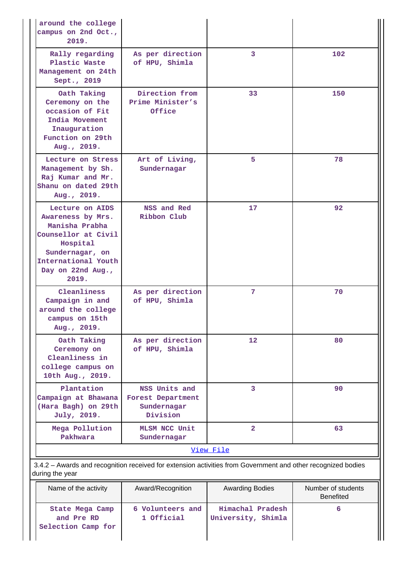| around the college<br>campus on 2nd Oct.,<br>2019.                                                                                                                |                                                               |                        |                                        |
|-------------------------------------------------------------------------------------------------------------------------------------------------------------------|---------------------------------------------------------------|------------------------|----------------------------------------|
| Rally regarding<br>Plastic Waste<br>Management on 24th<br>Sept., 2019                                                                                             | As per direction<br>of HPU, Shimla                            | 3                      | 102                                    |
| Oath Taking<br>Ceremony on the<br>occasion of Fit<br>India Movement<br>Inauguration<br>Function on 29th<br>Aug., 2019.                                            | Direction from<br>Prime Minister's<br>Office                  | 33                     | 150                                    |
| Lecture on Stress<br>Management by Sh.<br>Raj Kumar and Mr.<br>Shanu on dated 29th<br>Aug., 2019.                                                                 | Art of Living,<br>Sundernagar                                 | 5.                     | 78                                     |
| Lecture on AIDS<br>Awareness by Mrs.<br>Manisha Prabha<br>Counsellor at Civil<br>Hospital<br>Sundernagar, on<br>International Youth<br>Day on 22nd Aug.,<br>2019. | NSS and Red<br>Ribbon Club                                    | 17                     | 92                                     |
| Cleanliness<br>Campaign in and<br>around the college<br>campus on 15th<br>Aug., 2019.                                                                             | As per direction<br>of HPU, Shimla                            | 7                      | 70                                     |
| Oath Taking<br>Ceremony on<br>Cleanliness in<br>college campus on<br>10th Aug., 2019.                                                                             | As per direction<br>of HPU, Shimla                            | 12                     | 80                                     |
| Plantation<br>Campaign at Bhawana<br>(Hara Bagh) on 29th<br>July, 2019.                                                                                           | NSS Units and<br>Forest Department<br>Sundernagar<br>Division | 3                      | 90                                     |
| Mega Pollution<br>Pakhwara                                                                                                                                        | MLSM NCC Unit<br>Sundernagar                                  | $\overline{2}$         | 63                                     |
|                                                                                                                                                                   |                                                               | View File              |                                        |
| 3.4.2 - Awards and recognition received for extension activities from Government and other recognized bodies<br>during the year                                   |                                                               |                        |                                        |
| Name of the activity                                                                                                                                              | Award/Recognition                                             | <b>Awarding Bodies</b> | Number of students<br><b>Benefited</b> |

|                               |                                |                                        | <b>Benefited</b> |
|-------------------------------|--------------------------------|----------------------------------------|------------------|
| State Mega Camp<br>and Pre RD | 6 Volunteers and<br>1 Official | Himachal Pradesh<br>University, Shimla |                  |
| Selection Camp for            |                                |                                        |                  |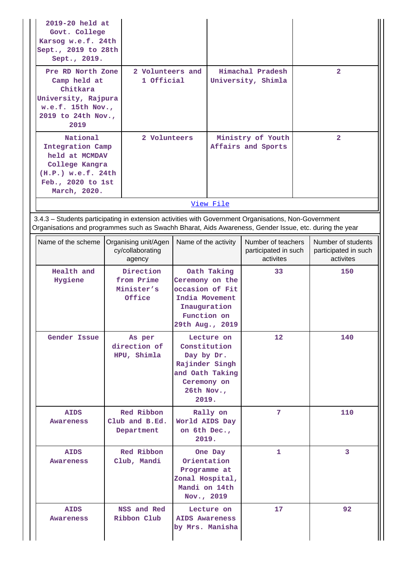| 2019-20 held at<br>Govt. College<br>Karsog w.e.f. 24th<br>Sept., 2019 to 28th<br>Sept., 2019.<br>Pre RD North Zone<br>Camp held at<br>Chitkara<br>University, Rajpura<br>w.e.f. 15th Nov.,<br>2019 to 24th Nov.,<br>2019 | 2 Volunteers and<br>1 Official                     |                                                                                                                       |           | Himachal Pradesh<br>University, Shimla                  |  | $\overline{2}$                                          |  |  |  |
|--------------------------------------------------------------------------------------------------------------------------------------------------------------------------------------------------------------------------|----------------------------------------------------|-----------------------------------------------------------------------------------------------------------------------|-----------|---------------------------------------------------------|--|---------------------------------------------------------|--|--|--|
| National<br>Integration Camp<br>held at MCMDAV<br>College Kangra<br>$(H.P.)$ w.e.f. $24th$<br>Feb., 2020 to 1st<br>March, 2020.                                                                                          |                                                    | 2 Volunteers                                                                                                          |           | Ministry of Youth<br>Affairs and Sports                 |  | $\overline{a}$                                          |  |  |  |
|                                                                                                                                                                                                                          |                                                    |                                                                                                                       | View File |                                                         |  |                                                         |  |  |  |
| 3.4.3 - Students participating in extension activities with Government Organisations, Non-Government<br>Organisations and programmes such as Swachh Bharat, Aids Awareness, Gender Issue, etc. during the year           |                                                    |                                                                                                                       |           |                                                         |  |                                                         |  |  |  |
| Name of the scheme                                                                                                                                                                                                       | Organising unit/Agen<br>cy/collaborating<br>agency | Name of the activity                                                                                                  |           | Number of teachers<br>participated in such<br>activites |  | Number of students<br>participated in such<br>activites |  |  |  |
| Health and<br>Hygiene                                                                                                                                                                                                    | Direction<br>from Prime<br>Minister's<br>Office    | Oath Taking<br>Ceremony on the<br>occasion of Fit<br>India Movement<br>Inauguration<br>Function on<br>29th Aug., 2019 |           | 33                                                      |  | 150                                                     |  |  |  |
| Gender Issue                                                                                                                                                                                                             | As per<br>direction of<br>HPU, Shimla              | Lecture on<br>Constitution<br>Day by Dr.<br>Rajinder Singh<br>and Oath Taking<br>Ceremony on<br>26th Nov.,<br>2019.   |           | $12 \overline{ }$                                       |  | 140                                                     |  |  |  |
| <b>AIDS</b><br>Awareness                                                                                                                                                                                                 | Red Ribbon<br>Club and B.Ed.<br>Department         | World AIDS Day<br>on 6th Dec.,<br>2019.                                                                               | Rally on  | 7                                                       |  | 110                                                     |  |  |  |
| <b>AIDS</b><br>Awareness                                                                                                                                                                                                 | Red Ribbon<br>Club, Mandi                          | Orientation<br>Programme at<br>Zonal Hospital,<br>Mandi on 14th<br>Nov., 2019                                         | One Day   | 1                                                       |  | $\overline{3}$                                          |  |  |  |
| <b>AIDS</b><br>Awareness                                                                                                                                                                                                 | NSS and Red<br>Ribbon Club                         | Lecture on<br><b>AIDS Awareness</b><br>by Mrs. Manisha                                                                |           | 17 <sub>1</sub>                                         |  | 92                                                      |  |  |  |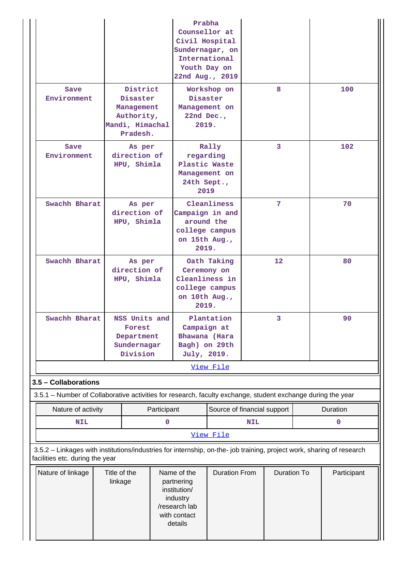|                                                                                                                                                          | Prabha<br>Counsellor at<br>Civil Hospital<br>Sundernagar, on<br>International<br>Youth Day on<br>22nd Aug., 2019 |                                                                                                                           |                                                                                          |                             |                |         |             |          |
|----------------------------------------------------------------------------------------------------------------------------------------------------------|------------------------------------------------------------------------------------------------------------------|---------------------------------------------------------------------------------------------------------------------------|------------------------------------------------------------------------------------------|-----------------------------|----------------|---------|-------------|----------|
| Save<br>Environment                                                                                                                                      | District<br>Disaster<br>Management<br>Authority,<br>Mandi, Himachal<br>Pradesh.                                  |                                                                                                                           | Workshop on<br>Disaster<br>Management on<br>22nd Dec.,<br>2019.                          |                             | 8              |         |             | 100      |
| Save<br>As per<br>direction of<br>Environment<br>HPU, Shimla                                                                                             |                                                                                                                  |                                                                                                                           | regarding<br>Plastic Waste<br>Management on<br>24th Sept.,<br>2019                       | Rally                       | $\overline{3}$ |         |             | 102      |
| Swachh Bharat                                                                                                                                            | As per<br>direction of<br>HPU, Shimla                                                                            |                                                                                                                           | Campaign in and<br>around the<br>college campus<br>on 15th Aug.,<br>2019.                | Cleanliness                 | 7              |         |             | 70       |
| Swachh Bharat<br>As per<br>direction of<br>HPU, Shimla                                                                                                   |                                                                                                                  |                                                                                                                           | Oath Taking<br>Ceremony on<br>Cleanliness in<br>college campus<br>on 10th Aug.,<br>2019. |                             |                | $12 \,$ |             | 80       |
| Swachh Bharat                                                                                                                                            | NSS Units and<br>Forest<br>Department<br>Sundernagar<br>Division                                                 |                                                                                                                           | Plantation<br>Campaign at<br>Bhawana (Hara<br>Bagh) on 29th<br>July, 2019.               |                             |                | 3.      |             | 90       |
|                                                                                                                                                          |                                                                                                                  |                                                                                                                           |                                                                                          | View File                   |                |         |             |          |
| 3.5 - Collaborations<br>3.5.1 – Number of Collaborative activities for research, faculty exchange, student exchange during the year                      |                                                                                                                  |                                                                                                                           |                                                                                          |                             |                |         |             |          |
| Nature of activity                                                                                                                                       |                                                                                                                  | Participant                                                                                                               |                                                                                          | Source of financial support |                |         |             | Duration |
| <b>NIL</b>                                                                                                                                               |                                                                                                                  | 0                                                                                                                         |                                                                                          |                             | <b>NIL</b>     |         |             | 0        |
|                                                                                                                                                          |                                                                                                                  |                                                                                                                           |                                                                                          | View File                   |                |         |             |          |
| 3.5.2 - Linkages with institutions/industries for internship, on-the- job training, project work, sharing of research<br>facilities etc. during the year |                                                                                                                  |                                                                                                                           |                                                                                          |                             |                |         |             |          |
| Nature of linkage<br>Title of the<br>linkage                                                                                                             |                                                                                                                  | <b>Duration From</b><br>Name of the<br>partnering<br>institution/<br>industry<br>/research lab<br>with contact<br>details |                                                                                          | <b>Duration To</b>          |                |         | Participant |          |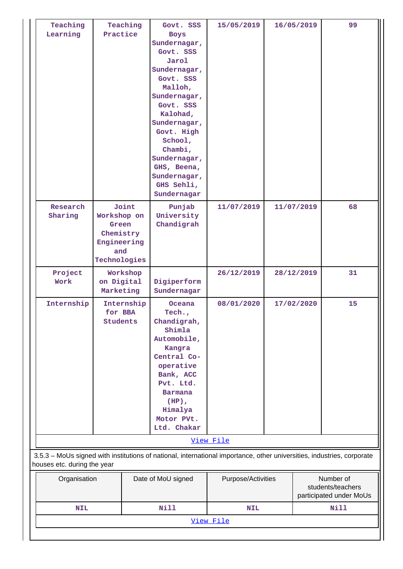| Teaching<br>Learning        | Practice             | Teaching   | Govt. SSS<br><b>Boys</b>    | 15/05/2019                                                                                                             |            | 16/05/2019 | 99                              |  |
|-----------------------------|----------------------|------------|-----------------------------|------------------------------------------------------------------------------------------------------------------------|------------|------------|---------------------------------|--|
|                             |                      |            | Sundernagar,                |                                                                                                                        |            |            |                                 |  |
|                             |                      |            | Govt. SSS                   |                                                                                                                        |            |            |                                 |  |
|                             |                      |            | Jarol                       |                                                                                                                        |            |            |                                 |  |
|                             |                      |            | Sundernagar,                |                                                                                                                        |            |            |                                 |  |
|                             |                      |            | Govt. SSS                   |                                                                                                                        |            |            |                                 |  |
|                             |                      |            | Malloh,                     |                                                                                                                        |            |            |                                 |  |
|                             |                      |            | Sundernagar,                |                                                                                                                        |            |            |                                 |  |
|                             |                      |            | Govt. SSS                   |                                                                                                                        |            |            |                                 |  |
|                             |                      |            | Kalohad,                    |                                                                                                                        |            |            |                                 |  |
|                             |                      |            | Sundernagar,                |                                                                                                                        |            |            |                                 |  |
|                             |                      |            | Govt. High                  |                                                                                                                        |            |            |                                 |  |
|                             |                      |            | School,                     |                                                                                                                        |            |            |                                 |  |
|                             |                      |            | Chambi,                     |                                                                                                                        |            |            |                                 |  |
|                             |                      |            | Sundernagar,                |                                                                                                                        |            |            |                                 |  |
|                             |                      |            | GHS, Beena,<br>Sundernagar, |                                                                                                                        |            |            |                                 |  |
|                             |                      |            | GHS Sehli,                  |                                                                                                                        |            |            |                                 |  |
|                             |                      |            | Sundernagar                 |                                                                                                                        |            |            |                                 |  |
|                             |                      |            |                             |                                                                                                                        |            |            |                                 |  |
| Research                    |                      | Joint      | Punjab                      | 11/07/2019                                                                                                             |            | 11/07/2019 | 68                              |  |
| Sharing                     | Workshop on<br>Green |            | University<br>Chandigrah    |                                                                                                                        |            |            |                                 |  |
|                             | Chemistry            |            |                             |                                                                                                                        |            |            |                                 |  |
|                             | Engineering          |            |                             |                                                                                                                        |            |            |                                 |  |
|                             | and                  |            |                             |                                                                                                                        |            |            |                                 |  |
|                             | Technologies         |            |                             |                                                                                                                        |            |            |                                 |  |
| Project                     |                      | Workshop   |                             | 26/12/2019                                                                                                             |            | 28/12/2019 | 31                              |  |
| Work                        | on Digital           |            | Digiperform                 |                                                                                                                        |            |            |                                 |  |
|                             | Marketing            |            | Sundernagar                 |                                                                                                                        |            |            |                                 |  |
| Internship                  |                      | Internship | <b>Oceana</b>               | 08/01/2020                                                                                                             | 17/02/2020 |            | 15                              |  |
|                             | for BBA              |            | Tech.,                      |                                                                                                                        |            |            |                                 |  |
|                             | Students             |            | Chandigrah,                 |                                                                                                                        |            |            |                                 |  |
|                             |                      |            | Shimla                      |                                                                                                                        |            |            |                                 |  |
|                             |                      |            | Automobile,                 |                                                                                                                        |            |            |                                 |  |
|                             |                      |            | Kangra                      |                                                                                                                        |            |            |                                 |  |
|                             |                      |            | Central Co-                 |                                                                                                                        |            |            |                                 |  |
|                             |                      |            | operative                   |                                                                                                                        |            |            |                                 |  |
|                             |                      |            | Bank, ACC<br>Pvt. Ltd.      |                                                                                                                        |            |            |                                 |  |
|                             |                      |            | <b>Barmana</b>              |                                                                                                                        |            |            |                                 |  |
|                             |                      |            | $(HP)$ ,                    |                                                                                                                        |            |            |                                 |  |
|                             |                      |            | Himalya                     |                                                                                                                        |            |            |                                 |  |
|                             |                      |            | Motor PVt.                  |                                                                                                                        |            |            |                                 |  |
|                             |                      |            | Ltd. Chakar                 |                                                                                                                        |            |            |                                 |  |
|                             |                      |            |                             | View File                                                                                                              |            |            |                                 |  |
|                             |                      |            |                             | 3.5.3 - MoUs signed with institutions of national, international importance, other universities, industries, corporate |            |            |                                 |  |
| houses etc. during the year |                      |            |                             |                                                                                                                        |            |            |                                 |  |
| Organisation                |                      |            | Date of MoU signed          | Purpose/Activities                                                                                                     |            | Number of  |                                 |  |
|                             |                      |            |                             |                                                                                                                        |            |            | students/teachers               |  |
|                             |                      |            |                             |                                                                                                                        |            |            |                                 |  |
| <b>NIL</b>                  |                      |            | Nill                        | <b>NIL</b>                                                                                                             |            |            | participated under MoUs<br>Nill |  |

[View File](https://assessmentonline.naac.gov.in/public/Postacc/MoU/11377_MoU_1630050006.xlsx)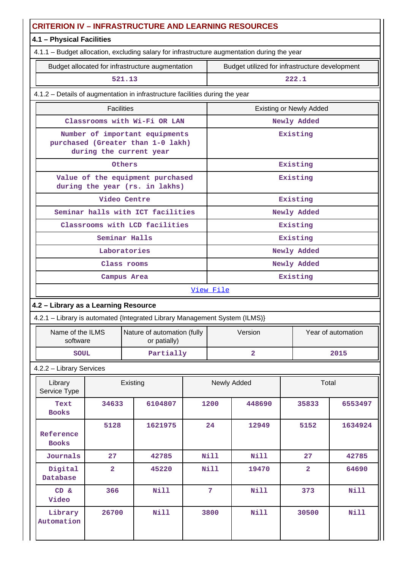| <b>CRITERION IV - INFRASTRUCTURE AND LEARNING RESOURCES</b> |                                                                                                |                                                                                             |  |                                                |                         |                |                    |  |  |  |
|-------------------------------------------------------------|------------------------------------------------------------------------------------------------|---------------------------------------------------------------------------------------------|--|------------------------------------------------|-------------------------|----------------|--------------------|--|--|--|
| 4.1 - Physical Facilities                                   |                                                                                                |                                                                                             |  |                                                |                         |                |                    |  |  |  |
|                                                             |                                                                                                | 4.1.1 - Budget allocation, excluding salary for infrastructure augmentation during the year |  |                                                |                         |                |                    |  |  |  |
|                                                             |                                                                                                | Budget allocated for infrastructure augmentation                                            |  | Budget utilized for infrastructure development |                         |                |                    |  |  |  |
|                                                             |                                                                                                | 521.13                                                                                      |  |                                                |                         | 222.1          |                    |  |  |  |
|                                                             |                                                                                                | 4.1.2 - Details of augmentation in infrastructure facilities during the year                |  |                                                |                         |                |                    |  |  |  |
|                                                             | <b>Facilities</b>                                                                              |                                                                                             |  | <b>Existing or Newly Added</b>                 |                         |                |                    |  |  |  |
|                                                             |                                                                                                | Classrooms with Wi-Fi OR LAN                                                                |  |                                                |                         | Newly Added    |                    |  |  |  |
|                                                             | Number of important equipments<br>purchased (Greater than 1-0 lakh)<br>during the current year |                                                                                             |  |                                                |                         | Existing       |                    |  |  |  |
|                                                             |                                                                                                | Others                                                                                      |  |                                                |                         | Existing       |                    |  |  |  |
|                                                             |                                                                                                | Value of the equipment purchased<br>during the year (rs. in lakhs)                          |  |                                                |                         | Existing       |                    |  |  |  |
|                                                             |                                                                                                | Video Centre                                                                                |  |                                                |                         | Existing       |                    |  |  |  |
|                                                             |                                                                                                | Seminar halls with ICT facilities                                                           |  |                                                |                         | Newly Added    |                    |  |  |  |
|                                                             |                                                                                                | Classrooms with LCD facilities                                                              |  |                                                |                         | Existing       |                    |  |  |  |
|                                                             |                                                                                                | Seminar Halls                                                                               |  |                                                |                         | Existing       |                    |  |  |  |
|                                                             |                                                                                                | Laboratories                                                                                |  | Newly Added                                    |                         |                |                    |  |  |  |
|                                                             | Class rooms                                                                                    |                                                                                             |  |                                                |                         | Newly Added    |                    |  |  |  |
|                                                             |                                                                                                | Campus Area                                                                                 |  | Existing                                       |                         |                |                    |  |  |  |
|                                                             |                                                                                                |                                                                                             |  | View File                                      |                         |                |                    |  |  |  |
| 4.2 - Library as a Learning Resource                        |                                                                                                |                                                                                             |  |                                                |                         |                |                    |  |  |  |
|                                                             |                                                                                                | 4.2.1 - Library is automated {Integrated Library Management System (ILMS)}                  |  |                                                |                         |                |                    |  |  |  |
| Name of the ILMS<br>software                                |                                                                                                | Nature of automation (fully<br>or patially)                                                 |  | Version                                        |                         |                | Year of automation |  |  |  |
| <b>SOUL</b>                                                 |                                                                                                | Partially                                                                                   |  |                                                | $\overline{\mathbf{2}}$ |                | 2015               |  |  |  |
| 4.2.2 - Library Services                                    |                                                                                                |                                                                                             |  |                                                |                         |                |                    |  |  |  |
| Library<br>Service Type                                     |                                                                                                | Existing                                                                                    |  |                                                | Newly Added             | Total          |                    |  |  |  |
| Text<br><b>Books</b>                                        | 34633                                                                                          | 6104807                                                                                     |  | 1200                                           | 448690                  | 35833          | 6553497            |  |  |  |
| Reference<br><b>Books</b>                                   | 5128                                                                                           | 1621975                                                                                     |  | 24                                             | 12949                   | 5152           | 1634924            |  |  |  |
| Journals                                                    | 27                                                                                             | 42785                                                                                       |  | <b>Nill</b>                                    | <b>Nill</b>             | 27             | 42785              |  |  |  |
| Digital<br>Database                                         | $\overline{\mathbf{2}}$                                                                        | 45220                                                                                       |  | Nill                                           | 19470                   | $\overline{a}$ | 64690              |  |  |  |
| CD &<br>Video                                               | 366                                                                                            | <b>Nill</b>                                                                                 |  | 7                                              | <b>Nill</b>             | 373            | <b>Nill</b>        |  |  |  |
| Library<br>Automation                                       | 26700                                                                                          | <b>Nill</b>                                                                                 |  | 3800                                           | <b>Nill</b>             | 30500          | <b>Nill</b>        |  |  |  |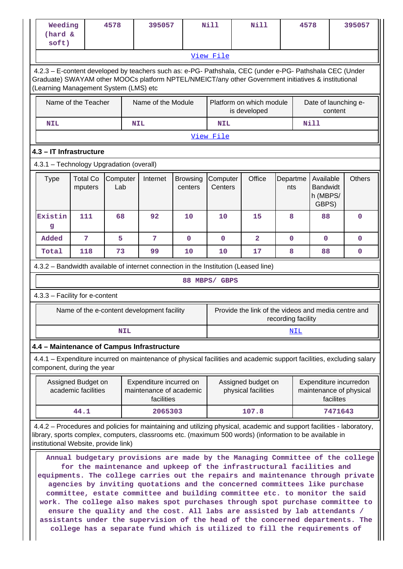| soft)                                                                                                                                                                                                                                                                    | Weeding<br>4578<br>(hard &                    |    |            | 395057                                                                                                                                                                                                                                                                                                                                                                                                                                                                                                                                                                                                                                                                                                                               |  |                            | <b>Nill</b>         |  | <b>Nill</b>                                         |                    | 4578        |                                                   |           | 395057                                            |  |   |
|--------------------------------------------------------------------------------------------------------------------------------------------------------------------------------------------------------------------------------------------------------------------------|-----------------------------------------------|----|------------|--------------------------------------------------------------------------------------------------------------------------------------------------------------------------------------------------------------------------------------------------------------------------------------------------------------------------------------------------------------------------------------------------------------------------------------------------------------------------------------------------------------------------------------------------------------------------------------------------------------------------------------------------------------------------------------------------------------------------------------|--|----------------------------|---------------------|--|-----------------------------------------------------|--------------------|-------------|---------------------------------------------------|-----------|---------------------------------------------------|--|---|
|                                                                                                                                                                                                                                                                          |                                               |    |            |                                                                                                                                                                                                                                                                                                                                                                                                                                                                                                                                                                                                                                                                                                                                      |  |                            | View File           |  |                                                     |                    |             |                                                   |           |                                                   |  |   |
| 4.2.3 - E-content developed by teachers such as: e-PG- Pathshala, CEC (under e-PG- Pathshala CEC (Under<br>Graduate) SWAYAM other MOOCs platform NPTEL/NMEICT/any other Government initiatives & institutional<br>(Learning Management System (LMS) etc                  |                                               |    |            |                                                                                                                                                                                                                                                                                                                                                                                                                                                                                                                                                                                                                                                                                                                                      |  |                            |                     |  |                                                     |                    |             |                                                   |           |                                                   |  |   |
|                                                                                                                                                                                                                                                                          | Name of the Teacher                           |    |            | Name of the Module                                                                                                                                                                                                                                                                                                                                                                                                                                                                                                                                                                                                                                                                                                                   |  |                            |                     |  | Platform on which module<br>is developed            |                    |             |                                                   | content   | Date of launching e-                              |  |   |
| <b>NIL</b>                                                                                                                                                                                                                                                               |                                               |    | <b>NIL</b> |                                                                                                                                                                                                                                                                                                                                                                                                                                                                                                                                                                                                                                                                                                                                      |  |                            | <b>NIL</b>          |  |                                                     |                    |             | <b>Nill</b>                                       |           |                                                   |  |   |
|                                                                                                                                                                                                                                                                          |                                               |    |            |                                                                                                                                                                                                                                                                                                                                                                                                                                                                                                                                                                                                                                                                                                                                      |  |                            | View File           |  |                                                     |                    |             |                                                   |           |                                                   |  |   |
| 4.3 - IT Infrastructure                                                                                                                                                                                                                                                  |                                               |    |            |                                                                                                                                                                                                                                                                                                                                                                                                                                                                                                                                                                                                                                                                                                                                      |  |                            |                     |  |                                                     |                    |             |                                                   |           |                                                   |  |   |
| 4.3.1 - Technology Upgradation (overall)                                                                                                                                                                                                                                 |                                               |    |            |                                                                                                                                                                                                                                                                                                                                                                                                                                                                                                                                                                                                                                                                                                                                      |  |                            |                     |  |                                                     |                    |             |                                                   |           |                                                   |  |   |
| <b>Type</b>                                                                                                                                                                                                                                                              | <b>Total Co</b><br>Computer<br>mputers<br>Lab |    |            | Internet                                                                                                                                                                                                                                                                                                                                                                                                                                                                                                                                                                                                                                                                                                                             |  | <b>Browsing</b><br>centers | Computer<br>Centers |  | Office                                              | Departme<br>nts    |             | Available<br><b>Bandwidt</b><br>h (MBPS/<br>GBPS) |           | <b>Others</b>                                     |  |   |
| Existin<br>g                                                                                                                                                                                                                                                             | 111                                           | 68 |            | 92                                                                                                                                                                                                                                                                                                                                                                                                                                                                                                                                                                                                                                                                                                                                   |  | 10                         | 10                  |  | 15                                                  | 8                  |             | 88                                                |           | $\mathbf 0$                                       |  |   |
| Added                                                                                                                                                                                                                                                                    | $\overline{7}$                                | 5  |            | 7                                                                                                                                                                                                                                                                                                                                                                                                                                                                                                                                                                                                                                                                                                                                    |  | $\mathbf 0$                | $\mathbf 0$         |  | $\overline{2}$                                      |                    | $\mathbf 0$ |                                                   | 0         |                                                   |  | 0 |
| Total<br>118<br>73<br>99<br>17<br>10<br>10<br>8<br>88<br>$\mathbf 0$                                                                                                                                                                                                     |                                               |    |            |                                                                                                                                                                                                                                                                                                                                                                                                                                                                                                                                                                                                                                                                                                                                      |  |                            |                     |  |                                                     |                    |             |                                                   |           |                                                   |  |   |
| 4.3.2 - Bandwidth available of internet connection in the Institution (Leased line)                                                                                                                                                                                      |                                               |    |            |                                                                                                                                                                                                                                                                                                                                                                                                                                                                                                                                                                                                                                                                                                                                      |  |                            |                     |  |                                                     |                    |             |                                                   |           |                                                   |  |   |
| 88 MBPS/ GBPS                                                                                                                                                                                                                                                            |                                               |    |            |                                                                                                                                                                                                                                                                                                                                                                                                                                                                                                                                                                                                                                                                                                                                      |  |                            |                     |  |                                                     |                    |             |                                                   |           |                                                   |  |   |
| 4.3.3 - Facility for e-content                                                                                                                                                                                                                                           |                                               |    |            |                                                                                                                                                                                                                                                                                                                                                                                                                                                                                                                                                                                                                                                                                                                                      |  |                            |                     |  |                                                     |                    |             |                                                   |           |                                                   |  |   |
|                                                                                                                                                                                                                                                                          |                                               |    |            | Name of the e-content development facility                                                                                                                                                                                                                                                                                                                                                                                                                                                                                                                                                                                                                                                                                           |  |                            |                     |  | Provide the link of the videos and media centre and | recording facility |             |                                                   |           |                                                   |  |   |
|                                                                                                                                                                                                                                                                          |                                               |    | <b>NIL</b> |                                                                                                                                                                                                                                                                                                                                                                                                                                                                                                                                                                                                                                                                                                                                      |  |                            |                     |  |                                                     |                    | <u>NIL</u>  |                                                   |           |                                                   |  |   |
| 4.4 - Maintenance of Campus Infrastructure                                                                                                                                                                                                                               |                                               |    |            |                                                                                                                                                                                                                                                                                                                                                                                                                                                                                                                                                                                                                                                                                                                                      |  |                            |                     |  |                                                     |                    |             |                                                   |           |                                                   |  |   |
| 4.4.1 – Expenditure incurred on maintenance of physical facilities and academic support facilities, excluding salary<br>component, during the year                                                                                                                       |                                               |    |            |                                                                                                                                                                                                                                                                                                                                                                                                                                                                                                                                                                                                                                                                                                                                      |  |                            |                     |  |                                                     |                    |             |                                                   |           |                                                   |  |   |
|                                                                                                                                                                                                                                                                          | Assigned Budget on<br>academic facilities     |    |            | Expenditure incurred on<br>maintenance of academic<br>facilities                                                                                                                                                                                                                                                                                                                                                                                                                                                                                                                                                                                                                                                                     |  |                            |                     |  | Assigned budget on<br>physical facilities           |                    |             |                                                   | facilites | Expenditure incurredon<br>maintenance of physical |  |   |
|                                                                                                                                                                                                                                                                          | 44.1                                          |    |            | 2065303                                                                                                                                                                                                                                                                                                                                                                                                                                                                                                                                                                                                                                                                                                                              |  |                            |                     |  | 107.8                                               |                    |             |                                                   | 7471643   |                                                   |  |   |
| 4.4.2 – Procedures and policies for maintaining and utilizing physical, academic and support facilities - laboratory,<br>library, sports complex, computers, classrooms etc. (maximum 500 words) (information to be available in<br>institutional Website, provide link) |                                               |    |            |                                                                                                                                                                                                                                                                                                                                                                                                                                                                                                                                                                                                                                                                                                                                      |  |                            |                     |  |                                                     |                    |             |                                                   |           |                                                   |  |   |
|                                                                                                                                                                                                                                                                          |                                               |    |            | Annual budgetary provisions are made by the Managing Committee of the college<br>for the maintenance and upkeep of the infrastructural facilities and<br>equipments. The college carries out the repairs and maintenance through private<br>agencies by inviting quotations and the concerned committees like purchase<br>committee, estate committee and building committee etc. to monitor the said<br>work. The college also makes spot purchases through spot purchase committee to<br>ensure the quality and the cost. All labs are assisted by lab attendants /<br>assistants under the supervision of the head of the concerned departments. The<br>college has a separate fund which is utilized to fill the requirements of |  |                            |                     |  |                                                     |                    |             |                                                   |           |                                                   |  |   |

 $\parallel$ 

 $\mathbf{\mathbf{\mathsf{I}}}\mathbf{\mathsf{I}}$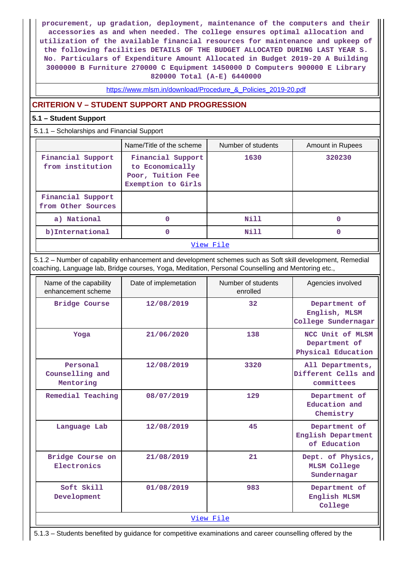**procurement, up gradation, deployment, maintenance of the computers and their accessories as and when needed. The college ensures optimal allocation and utilization of the available financial resources for maintenance and upkeep of the following facilities DETAILS OF THE BUDGET ALLOCATED DURING LAST YEAR S. No. Particulars of Expenditure Amount Allocated in Budget 2019-20 A Building 3000000 B Furniture 270000 C Equipment 1450000 D Computers 900000 E Library 820000 Total (A-E) 6440000**

https://www.mlsm.in/download/Procedure & Policies 2019-20.pdf

# **CRITERION V – STUDENT SUPPORT AND PROGRESSION**

## **5.1 – Student Support**

5.1.1 – Scholarships and Financial Support

|                                         | Name/Title of the scheme                                                        | Number of students | Amount in Rupees |  |  |  |  |  |
|-----------------------------------------|---------------------------------------------------------------------------------|--------------------|------------------|--|--|--|--|--|
| Financial Support<br>from institution   | Financial Support<br>to Economically<br>Poor, Tuition Fee<br>Exemption to Girls | 1630               | 320230           |  |  |  |  |  |
| Financial Support<br>from Other Sources |                                                                                 |                    |                  |  |  |  |  |  |
| a) National                             | 0                                                                               | Nill               | 0                |  |  |  |  |  |
| b) International                        | 0                                                                               | Nill               | 0                |  |  |  |  |  |
| View File                               |                                                                                 |                    |                  |  |  |  |  |  |

 5.1.2 – Number of capability enhancement and development schemes such as Soft skill development, Remedial coaching, Language lab, Bridge courses, Yoga, Meditation, Personal Counselling and Mentoring etc.,

| Name of the capability<br>enhancement scheme | Date of implemetation | Number of students<br>enrolled | Agencies involved                                       |  |  |
|----------------------------------------------|-----------------------|--------------------------------|---------------------------------------------------------|--|--|
| <b>Bridge Course</b>                         | 12/08/2019            | 32                             | Department of<br>English, MLSM<br>College Sundernagar   |  |  |
| Yoga                                         | 21/06/2020            | 138                            | NCC Unit of MLSM<br>Department of<br>Physical Education |  |  |
| Personal<br>Counselling and<br>Mentoring     | 12/08/2019            | 3320                           | All Departments,<br>Different Cells and<br>committees   |  |  |
| Remedial Teaching                            | 08/07/2019            | 129                            | Department of<br>Education and<br>Chemistry             |  |  |
| Language Lab                                 | 12/08/2019            | 45                             | Department of<br>English Department<br>of Education     |  |  |
| Bridge Course on<br>Electronics              | 21/08/2019            | 21                             | Dept. of Physics,<br><b>MLSM College</b><br>Sundernagar |  |  |
| Soft Skill<br>Development                    | 01/08/2019            | 983                            | Department of<br>English MLSM<br>College                |  |  |
|                                              |                       | View File                      |                                                         |  |  |

5.1.3 – Students benefited by guidance for competitive examinations and career counselling offered by the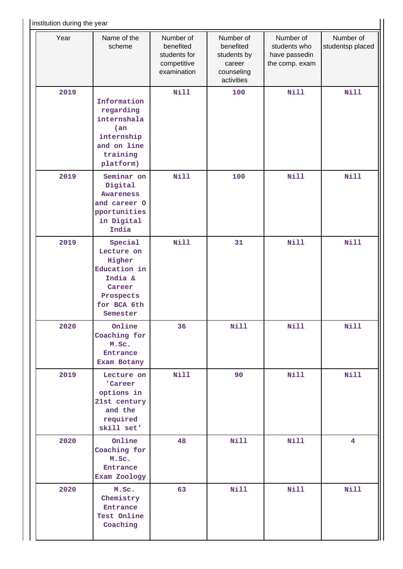| institution during the year |  |  |  |
|-----------------------------|--|--|--|
|-----------------------------|--|--|--|

|      | institution during the year                                                                                  |                                                                      |                                                                             |                                                              |                               |  |  |  |  |  |  |  |
|------|--------------------------------------------------------------------------------------------------------------|----------------------------------------------------------------------|-----------------------------------------------------------------------------|--------------------------------------------------------------|-------------------------------|--|--|--|--|--|--|--|
| Year | Name of the<br>scheme                                                                                        | Number of<br>benefited<br>students for<br>competitive<br>examination | Number of<br>benefited<br>students by<br>career<br>counseling<br>activities | Number of<br>students who<br>have passedin<br>the comp. exam | Number of<br>studentsp placed |  |  |  |  |  |  |  |
| 2019 | Information<br>regarding<br>internshala<br>(an)<br>internship<br>and on line<br>training<br>platform)        | <b>Nill</b>                                                          | 100                                                                         | <b>Nill</b>                                                  | <b>Nill</b>                   |  |  |  |  |  |  |  |
| 2019 | Seminar on<br>Digital<br><b>Awareness</b><br>and career 0<br>pportunities<br>in Digital<br>India             | <b>Nill</b>                                                          | 100                                                                         | Nill                                                         | <b>Nill</b>                   |  |  |  |  |  |  |  |
| 2019 | Special<br>Lecture on<br>Higher<br>Education in<br>India &<br>Career<br>Prospects<br>for BCA 6th<br>Semester | <b>Nill</b>                                                          | 31                                                                          | Nill                                                         | <b>Nill</b>                   |  |  |  |  |  |  |  |
| 2020 | Online<br>Coaching for<br>M.Sc.<br><b>Entrance</b><br>Exam Botany                                            | 36                                                                   | Nill                                                                        | Nill                                                         | Nill                          |  |  |  |  |  |  |  |
| 2019 | Lecture on<br>'Career<br>options in<br>21st century<br>and the<br>required<br>skill set'                     | <b>Nill</b>                                                          | 90                                                                          | <b>Nill</b>                                                  | <b>Nill</b>                   |  |  |  |  |  |  |  |
| 2020 | Online<br>Coaching for<br>M.Sc.<br><b>Entrance</b><br>Exam Zoology                                           | 48                                                                   | <b>Nill</b>                                                                 | <b>Nill</b>                                                  | $\overline{\mathbf{4}}$       |  |  |  |  |  |  |  |
| 2020 | M.Sc.<br>Chemistry<br>Entrance<br>Test Online<br>Coaching                                                    | 63                                                                   | <b>Nill</b>                                                                 | Nill                                                         | <b>Nill</b>                   |  |  |  |  |  |  |  |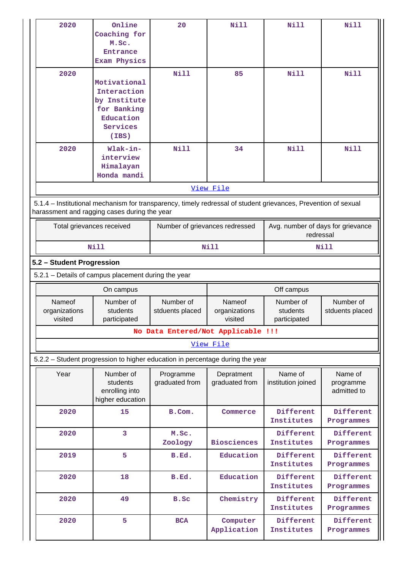| 2020                                                                                                                                                           | Online<br>Coaching for<br>M.Sc.<br>Entrance<br>Exam Physics                                  | 20                                 | <b>Nill</b>                        | Nill                                           | <b>Nill</b>                         |  |  |  |  |  |  |  |
|----------------------------------------------------------------------------------------------------------------------------------------------------------------|----------------------------------------------------------------------------------------------|------------------------------------|------------------------------------|------------------------------------------------|-------------------------------------|--|--|--|--|--|--|--|
| 2020                                                                                                                                                           | Motivational<br>Interaction<br>by Institute<br>for Banking<br>Education<br>Services<br>(IBS) | <b>Nill</b>                        | 85                                 | Nill                                           | <b>Nill</b>                         |  |  |  |  |  |  |  |
| 2020                                                                                                                                                           | $Wlak-in-$<br>interview<br>Himalayan<br>Honda mandi                                          | <b>Nill</b>                        | 34                                 | <b>Nill</b>                                    | <b>Nill</b>                         |  |  |  |  |  |  |  |
|                                                                                                                                                                |                                                                                              |                                    | View File                          |                                                |                                     |  |  |  |  |  |  |  |
| 5.1.4 - Institutional mechanism for transparency, timely redressal of student grievances, Prevention of sexual<br>harassment and ragging cases during the year |                                                                                              |                                    |                                    |                                                |                                     |  |  |  |  |  |  |  |
|                                                                                                                                                                | Total grievances received                                                                    | Number of grievances redressed     |                                    | Avg. number of days for grievance<br>redressal |                                     |  |  |  |  |  |  |  |
|                                                                                                                                                                | <b>Nill</b>                                                                                  |                                    | Nill                               | Nill                                           |                                     |  |  |  |  |  |  |  |
| 5.2 - Student Progression                                                                                                                                      |                                                                                              |                                    |                                    |                                                |                                     |  |  |  |  |  |  |  |
| 5.2.1 - Details of campus placement during the year                                                                                                            |                                                                                              |                                    |                                    |                                                |                                     |  |  |  |  |  |  |  |
|                                                                                                                                                                |                                                                                              |                                    |                                    |                                                |                                     |  |  |  |  |  |  |  |
|                                                                                                                                                                | On campus                                                                                    |                                    |                                    | Off campus                                     |                                     |  |  |  |  |  |  |  |
| Nameof<br>organizations<br>visited                                                                                                                             | Number of<br>students<br>participated                                                        | Number of<br>stduents placed       | Nameof<br>organizations<br>visited | Number of<br>students<br>participated          | Number of<br>stduents placed        |  |  |  |  |  |  |  |
|                                                                                                                                                                |                                                                                              | No Data Entered/Not Applicable !!! |                                    |                                                |                                     |  |  |  |  |  |  |  |
|                                                                                                                                                                |                                                                                              |                                    | View File                          |                                                |                                     |  |  |  |  |  |  |  |
|                                                                                                                                                                | 5.2.2 - Student progression to higher education in percentage during the year                |                                    |                                    |                                                |                                     |  |  |  |  |  |  |  |
| Year                                                                                                                                                           | Number of<br>students<br>enrolling into<br>higher education                                  | Programme<br>graduated from        | Depratment<br>graduated from       | Name of<br>institution joined                  | Name of<br>programme<br>admitted to |  |  |  |  |  |  |  |
| 2020                                                                                                                                                           | 15                                                                                           | B.Com.                             | Commerce                           | Different<br>Institutes                        | Different<br>Programmes             |  |  |  |  |  |  |  |
| 2020                                                                                                                                                           | 3                                                                                            | M.Sc.<br>Zoology                   | <b>Biosciences</b>                 | Different<br>Institutes                        | Different<br>Programmes             |  |  |  |  |  |  |  |
| 2019                                                                                                                                                           | 5                                                                                            | B.Ed.                              | Education                          | Different<br>Institutes                        | Different<br>Programmes             |  |  |  |  |  |  |  |
| 2020                                                                                                                                                           | 18                                                                                           | B.Ed.                              | Education                          | Different<br>Institutes                        | Different<br>Programmes             |  |  |  |  |  |  |  |
| 2020                                                                                                                                                           | 49                                                                                           | B.Sc                               | Chemistry                          | Different<br>Institutes                        | Different<br>Programmes             |  |  |  |  |  |  |  |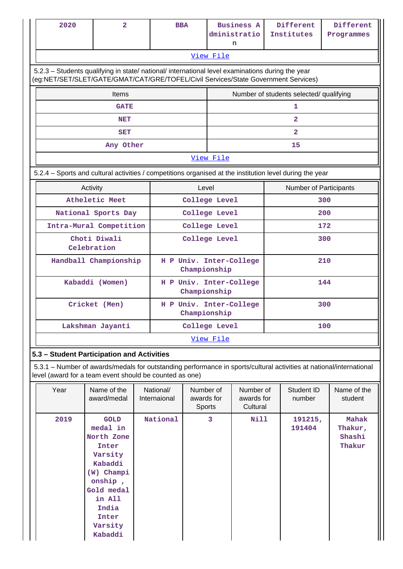| 2020                                                                                                     | $\overline{a}$                                                                                                                                                                         |                                         | <b>BBA</b>                              |                                         |                | <b>Business A</b><br>dministratio<br>n |                                         | Different<br>Institutes |     | Different<br>Programmes              |  |  |
|----------------------------------------------------------------------------------------------------------|----------------------------------------------------------------------------------------------------------------------------------------------------------------------------------------|-----------------------------------------|-----------------------------------------|-----------------------------------------|----------------|----------------------------------------|-----------------------------------------|-------------------------|-----|--------------------------------------|--|--|
|                                                                                                          |                                                                                                                                                                                        |                                         |                                         |                                         | View File      |                                        |                                         |                         |     |                                      |  |  |
|                                                                                                          | 5.2.3 - Students qualifying in state/ national/ international level examinations during the year<br>(eg:NET/SET/SLET/GATE/GMAT/CAT/GRE/TOFEL/Civil Services/State Government Services) |                                         |                                         |                                         |                |                                        |                                         |                         |     |                                      |  |  |
|                                                                                                          | <b>Items</b>                                                                                                                                                                           |                                         |                                         |                                         |                |                                        | Number of students selected/ qualifying |                         |     |                                      |  |  |
|                                                                                                          | <b>GATE</b>                                                                                                                                                                            |                                         |                                         |                                         |                |                                        | 1                                       |                         |     |                                      |  |  |
|                                                                                                          | <b>NET</b>                                                                                                                                                                             |                                         |                                         |                                         | $\overline{2}$ |                                        |                                         |                         |     |                                      |  |  |
|                                                                                                          | <b>SET</b>                                                                                                                                                                             |                                         |                                         |                                         | $\overline{2}$ |                                        |                                         |                         |     |                                      |  |  |
|                                                                                                          | Any Other                                                                                                                                                                              |                                         |                                         |                                         |                |                                        |                                         | 15                      |     |                                      |  |  |
|                                                                                                          |                                                                                                                                                                                        |                                         |                                         |                                         | View File      |                                        |                                         |                         |     |                                      |  |  |
| 5.2.4 - Sports and cultural activities / competitions organised at the institution level during the year |                                                                                                                                                                                        |                                         |                                         |                                         |                |                                        |                                         |                         |     |                                      |  |  |
| Level<br>Activity<br><b>Number of Participants</b>                                                       |                                                                                                                                                                                        |                                         |                                         |                                         |                |                                        |                                         |                         |     |                                      |  |  |
|                                                                                                          | Atheletic Meet                                                                                                                                                                         |                                         |                                         | College Level                           |                |                                        |                                         |                         | 300 |                                      |  |  |
|                                                                                                          | National Sports Day                                                                                                                                                                    |                                         |                                         | College Level                           |                |                                        |                                         |                         | 200 |                                      |  |  |
|                                                                                                          | Intra-Mural Competition                                                                                                                                                                |                                         |                                         | College Level                           |                |                                        |                                         |                         | 172 |                                      |  |  |
| Choti Diwali<br>Celebration                                                                              |                                                                                                                                                                                        |                                         | College Level                           |                                         |                | 300                                    |                                         |                         |     |                                      |  |  |
| Handball Championship                                                                                    |                                                                                                                                                                                        | H P Univ. Inter-College<br>Championship |                                         |                                         |                | 210                                    |                                         |                         |     |                                      |  |  |
|                                                                                                          | Kabaddi (Women)                                                                                                                                                                        |                                         |                                         | H P Univ. Inter-College<br>Championship |                |                                        |                                         |                         | 144 |                                      |  |  |
|                                                                                                          | Cricket (Men)                                                                                                                                                                          |                                         | H P Univ. Inter-College<br>Championship |                                         |                |                                        | 300                                     |                         |     |                                      |  |  |
|                                                                                                          | Lakshman Jayanti                                                                                                                                                                       |                                         | College Level                           |                                         |                |                                        |                                         |                         | 100 |                                      |  |  |
|                                                                                                          |                                                                                                                                                                                        |                                         |                                         |                                         | View File      |                                        |                                         |                         |     |                                      |  |  |
|                                                                                                          | 5.3 - Student Participation and Activities                                                                                                                                             |                                         |                                         |                                         |                |                                        |                                         |                         |     |                                      |  |  |
|                                                                                                          | 5.3.1 - Number of awards/medals for outstanding performance in sports/cultural activities at national/international<br>level (award for a team event should be counted as one)         |                                         |                                         |                                         |                |                                        |                                         |                         |     |                                      |  |  |
| Year                                                                                                     | Name of the<br>award/medal                                                                                                                                                             |                                         | National/<br>Internaional               | Number of<br>awards for<br>Sports       |                | Number of<br>awards for<br>Cultural    |                                         | Student ID<br>number    |     | Name of the<br>student               |  |  |
| 2019                                                                                                     | <b>GOLD</b><br>medal in<br>North Zone<br>Inter<br>Varsity<br>Kabaddi<br>(W) Champi<br>onship,<br>Gold medal<br>in All<br>India<br>Inter<br>Varsity<br>Kabaddi                          |                                         | National                                |                                         | 3              | Nill                                   |                                         | 191215,<br>191404       |     | Mahak<br>Thakur,<br>Shashi<br>Thakur |  |  |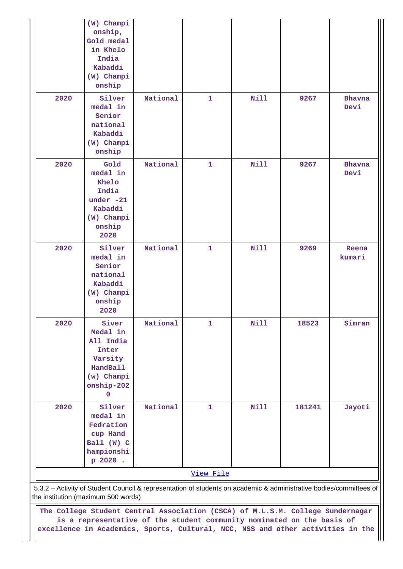|      | (W) Champi<br>onship,<br>Gold medal<br>in Khelo<br>India<br>Kabaddi<br>(W) Champi<br>onship                                                               |          |              |             |        |                       |
|------|-----------------------------------------------------------------------------------------------------------------------------------------------------------|----------|--------------|-------------|--------|-----------------------|
| 2020 | Silver<br>medal in<br>Senior<br>national<br>Kabaddi<br>(W) Champi<br>onship                                                                               | National | $\mathbf{1}$ | <b>Nill</b> | 9267   | <b>Bhavna</b><br>Devi |
| 2020 | Gold<br>medal in<br>Khelo<br>India<br>under $-21$<br>Kabaddi<br>(W) Champi<br>onship<br>2020                                                              | National | $\mathbf{1}$ | <b>Nill</b> | 9267   | Bhavna<br>Devi        |
| 2020 | Silver<br>medal in<br>Senior<br>national<br>Kabaddi<br>(W) Champi<br>onship<br>2020                                                                       | National | $\mathbf{1}$ | <b>Nill</b> | 9269   | Reena<br>kumari       |
| 2020 | Siver<br>Medal in<br>All India<br>Inter<br>Varsity<br><b>HandBall</b><br>(w) Champi<br>onship-202<br>0                                                    | National | $\mathbf{1}$ | <b>Nill</b> | 18523  | Simran                |
| 2020 | Silver<br>medal in<br>Fedration<br>cup Hand<br>Ball (W) C<br>hampionshi<br>p 2020.                                                                        | National | $\mathbf{1}$ | <b>Nill</b> | 181241 | Jayoti                |
|      |                                                                                                                                                           |          | View File    |             |        |                       |
|      | 5.3.2 - Activity of Student Council & representation of students on academic & administrative bodies/committees of<br>the institution (maximum 500 words) |          |              |             |        |                       |

 **The College Student Central Association (CSCA) of M.L.S.M. College Sundernagar is a representative of the student community nominated on the basis of excellence in Academics, Sports, Cultural, NCC, NSS and other activities in the**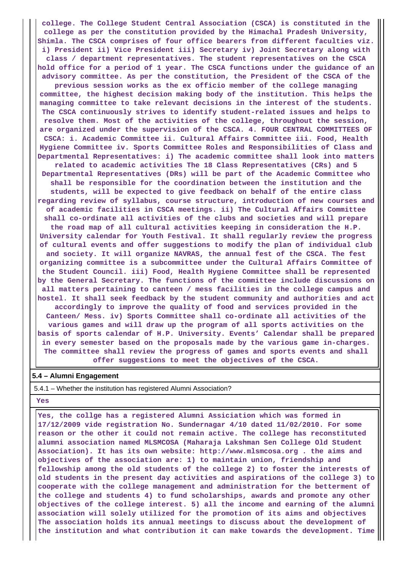**college. The College Student Central Association (CSCA) is constituted in the college as per the constitution provided by the Himachal Pradesh University, Shimla. The CSCA comprises of four office bearers from different faculties viz. i) President ii) Vice President iii) Secretary iv) Joint Secretary along with class / department representatives. The student representatives on the CSCA hold office for a period of 1 year. The CSCA functions under the guidance of an advisory committee. As per the constitution, the President of the CSCA of the previous session works as the ex officio member of the college managing committee, the highest decision making body of the institution. This helps the managing committee to take relevant decisions in the interest of the students. The CSCA continuously strives to identify student-related issues and helps to resolve them. Most of the activities of the college, throughout the session, are organized under the supervision of the CSCA. 4. FOUR CENTRAL COMMITTEES OF CSCA: i. Academic Committee ii. Cultural Affairs Committee iii. Food, Health Hygiene Committee iv. Sports Committee Roles and Responsibilities of Class and Departmental Representatives: i) The academic committee shall look into matters related to academic activities The 18 Class Representatives (CRs) and 5 Departmental Representatives (DRs) will be part of the Academic Committee who shall be responsible for the coordination between the institution and the students, will be expected to give feedback on behalf of the entire class regarding review of syllabus, course structure, introduction of new courses and of academic facilities in CSCA meetings. ii) The Cultural Affairs Committee shall co-ordinate all activities of the clubs and societies and will prepare the road map of all cultural activities keeping in consideration the H.P. University calendar for Youth Festival. It shall regularly review the progress of cultural events and offer suggestions to modify the plan of individual club and society. It will organize NAVRAS, the annual fest of the CSCA. The fest organizing committee is a subcommittee under the Cultural Affairs Committee of the Student Council. iii) Food, Health Hygiene Committee shall be represented by the General Secretary. The functions of the committee include discussions on all matters pertaining to canteen / mess facilities in the college campus and hostel. It shall seek feedback by the student community and authorities and act accordingly to improve the quality of food and services provided in the Canteen/ Mess. iv) Sports Committee shall co-ordinate all activities of the various games and will draw up the program of all sports activities on the basis of sports calendar of H.P. University. Events' Calendar shall be prepared in every semester based on the proposals made by the various game in-charges. The committee shall review the progress of games and sports events and shall offer suggestions to meet the objectives of the CSCA.**

#### **5.4 – Alumni Engagement**

5.4.1 – Whether the institution has registered Alumni Association?

#### **Yes**

 **Yes, the collge has a registered Alumni Assiciation which was formed in 17/12/2009 vide registration No. Sundernagar 4/10 dated 11/02/2010. For some reason or the other it could not remain active. The college has reconstituted alumni association named MLSMCOSA (Maharaja Lakshman Sen College Old Student Association). It has its own website: http://www.mlsmcosa.org . the aims and objectives of the association are: 1) to maintain union, friendship and fellowship among the old students of the college 2) to foster the interests of old students in the present day activities and aspirations of the college 3) to cooperate with the college management and administration for the betterment of the college and students 4) to fund scholarships, awards and promote any other objectives of the college interest. 5) all the income and earning of the alumni association will solely utilized for the promotion of its aims and objectives The association holds its annual meetings to discuss about the development of the institution and what contribution it can make towards the development. Time**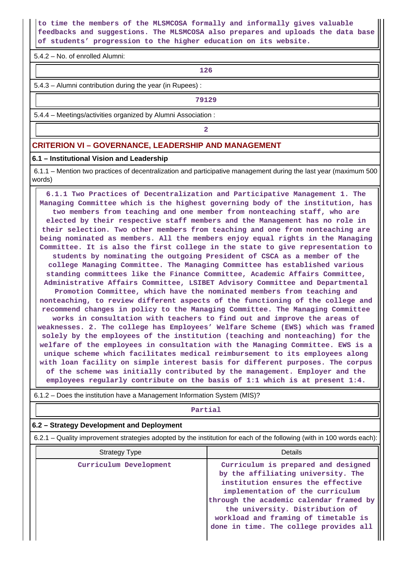**to time the members of the MLSMCOSA formally and informally gives valuable feedbacks and suggestions. The MLSMCOSA also prepares and uploads the data base of students' progression to the higher education on its website.**

5.4.2 – No. of enrolled Alumni:

**126**

5.4.3 – Alumni contribution during the year (in Rupees) :

**79129**

5.4.4 – Meetings/activities organized by Alumni Association :

**2**

## **CRITERION VI – GOVERNANCE, LEADERSHIP AND MANAGEMENT**

#### **6.1 – Institutional Vision and Leadership**

 6.1.1 – Mention two practices of decentralization and participative management during the last year (maximum 500 words)

 **6.1.1 Two Practices of Decentralization and Participative Management 1. The Managing Committee which is the highest governing body of the institution, has two members from teaching and one member from nonteaching staff, who are elected by their respective staff members and the Management has no role in their selection. Two other members from teaching and one from nonteaching are being nominated as members. All the members enjoy equal rights in the Managing Committee. It is also the first college in the state to give representation to students by nominating the outgoing President of CSCA as a member of the college Managing Committee. The Managing Committee has established various standing committees like the Finance Committee, Academic Affairs Committee, Administrative Affairs Committee, LSIBET Advisory Committee and Departmental Promotion Committee, which have the nominated members from teaching and nonteaching, to review different aspects of the functioning of the college and recommend changes in policy to the Managing Committee. The Managing Committee works in consultation with teachers to find out and improve the areas of weaknesses. 2. The college has Employees' Welfare Scheme (EWS) which was framed solely by the employees of the institution (teaching and nonteaching) for the welfare of the employees in consultation with the Managing Committee. EWS is a unique scheme which facilitates medical reimbursement to its employees along with loan facility on simple interest basis for different purposes. The corpus of the scheme was initially contributed by the management. Employer and the employees regularly contribute on the basis of 1:1 which is at present 1:4.**

6.1.2 – Does the institution have a Management Information System (MIS)?

#### **Partial**

### **6.2 – Strategy Development and Deployment**

6.2.1 – Quality improvement strategies adopted by the institution for each of the following (with in 100 words each):

| <b>Strategy Type</b>   | Details                                                                                                                                                                                                                                                                                                            |
|------------------------|--------------------------------------------------------------------------------------------------------------------------------------------------------------------------------------------------------------------------------------------------------------------------------------------------------------------|
| Curriculum Development | Curriculum is prepared and designed<br>by the affiliating university. The<br>institution ensures the effective<br>implementation of the curriculum<br>through the academic calendar framed by<br>the university. Distribution of<br>workload and framing of timetable is<br>done in time. The college provides all |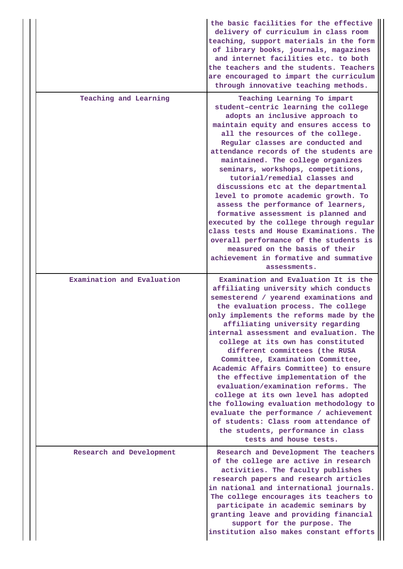|                            | the basic facilities for the effective<br>delivery of curriculum in class room<br>teaching, support materials in the form<br>of library books, journals, magazines<br>and internet facilities etc. to both<br>the teachers and the students. Teachers<br>are encouraged to impart the curriculum<br>through innovative teaching methods.                                                                                                                                                                                                                                                                                                                                                                                                                                 |
|----------------------------|--------------------------------------------------------------------------------------------------------------------------------------------------------------------------------------------------------------------------------------------------------------------------------------------------------------------------------------------------------------------------------------------------------------------------------------------------------------------------------------------------------------------------------------------------------------------------------------------------------------------------------------------------------------------------------------------------------------------------------------------------------------------------|
| Teaching and Learning      | Teaching Learning To impart<br>student-centric learning the college<br>adopts an inclusive approach to<br>maintain equity and ensures access to<br>all the resources of the college.<br>Regular classes are conducted and<br>attendance records of the students are<br>maintained. The college organizes<br>seminars, workshops, competitions,<br>tutorial/remedial classes and<br>discussions etc at the departmental<br>level to promote academic growth. To<br>assess the performance of learners,<br>formative assessment is planned and<br>executed by the college through regular<br>class tests and House Examinations. The<br>overall performance of the students is<br>measured on the basis of their<br>achievement in formative and summative<br>assessments. |
| Examination and Evaluation | Examination and Evaluation It is the<br>affiliating university which conducts<br>semesterend / yearend examinations and<br>the evaluation process. The college<br>only implements the reforms made by the<br>affiliating university regarding<br>internal assessment and evaluation. The<br>college at its own has constituted<br>different committees (the RUSA<br>Committee, Examination Committee,<br>Academic Affairs Committee) to ensure<br>the effective implementation of the<br>evaluation/examination reforms. The<br>college at its own level has adopted<br>the following evaluation methodology to<br>evaluate the performance / achievement<br>of students: Class room attendance of<br>the students, performance in class<br>tests and house tests.       |
| Research and Development   | Research and Development The teachers<br>of the college are active in research<br>activities. The faculty publishes<br>research papers and research articles<br>in national and international journals.<br>The college encourages its teachers to<br>participate in academic seminars by<br>granting leave and providing financial<br>support for the purpose. The<br>institution also makes constant efforts                                                                                                                                                                                                                                                                                                                                                            |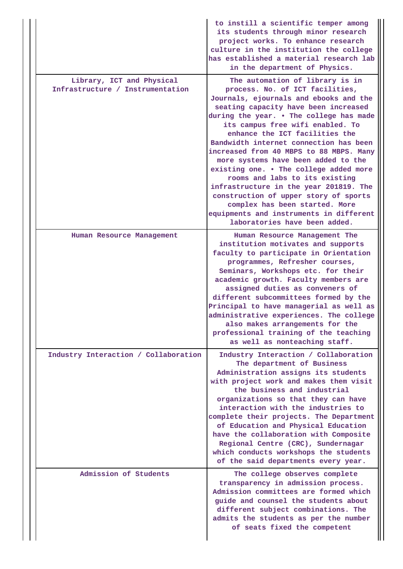|                                                               | to instill a scientific temper among<br>its students through minor research<br>project works. To enhance research<br>culture in the institution the college<br>has established a material research lab<br>in the department of Physics.                                                                                                                                                                                                                                                                                                                                                                                                                                        |
|---------------------------------------------------------------|--------------------------------------------------------------------------------------------------------------------------------------------------------------------------------------------------------------------------------------------------------------------------------------------------------------------------------------------------------------------------------------------------------------------------------------------------------------------------------------------------------------------------------------------------------------------------------------------------------------------------------------------------------------------------------|
| Library, ICT and Physical<br>Infrastructure / Instrumentation | The automation of library is in<br>process. No. of ICT facilities,<br>Journals, ejournals and ebooks and the<br>seating capacity have been increased<br>during the year. . The college has made<br>its campus free wifi enabled. To<br>enhance the ICT facilities the<br>Bandwidth internet connection has been<br>increased from 40 MBPS to 88 MBPS. Many<br>more systems have been added to the<br>existing one. . The college added more<br>rooms and labs to its existing<br>infrastructure in the year 201819. The<br>construction of upper story of sports<br>complex has been started. More<br>equipments and instruments in different<br>laboratories have been added. |
| Human Resource Management                                     | Human Resource Management The<br>institution motivates and supports<br>faculty to participate in Orientation<br>programmes, Refresher courses,<br>Seminars, Workshops etc. for their<br>academic growth. Faculty members are<br>assigned duties as conveners of<br>different subcommittees formed by the<br>Principal to have managerial as well as<br>administrative experiences. The college<br>also makes arrangements for the<br>professional training of the teaching<br>as well as nonteaching staff.                                                                                                                                                                    |
| Industry Interaction / Collaboration                          | Industry Interaction / Collaboration<br>The department of Business<br>Administration assigns its students<br>with project work and makes them visit<br>the business and industrial<br>organizations so that they can have<br>interaction with the industries to<br>complete their projects. The Department<br>of Education and Physical Education<br>have the collaboration with Composite<br>Regional Centre (CRC), Sundernagar<br>which conducts workshops the students<br>of the said departments every year.                                                                                                                                                               |
| Admission of Students                                         | The college observes complete<br>transparency in admission process.<br>Admission committees are formed which<br>guide and counsel the students about<br>different subject combinations. The<br>admits the students as per the number<br>of seats fixed the competent                                                                                                                                                                                                                                                                                                                                                                                                           |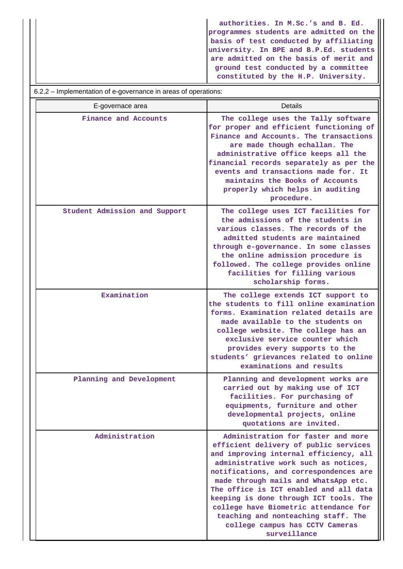**authorities. In M.Sc.'s and B. Ed. programmes students are admitted on the basis of test conducted by affiliating university. In BPE and B.P.Ed. students are admitted on the basis of merit and ground test conducted by a committee constituted by the H.P. University.**

### 6.2.2 – Implementation of e-governance in areas of operations:

| E-governace area              | Details                                                                                                                                                                                                                                                                                                                                                                                                                                                                |
|-------------------------------|------------------------------------------------------------------------------------------------------------------------------------------------------------------------------------------------------------------------------------------------------------------------------------------------------------------------------------------------------------------------------------------------------------------------------------------------------------------------|
| Finance and Accounts          | The college uses the Tally software<br>for proper and efficient functioning of<br>Finance and Accounts. The transactions<br>are made though echallan. The<br>administrative office keeps all the<br>financial records separately as per the<br>events and transactions made for. It<br>maintains the Books of Accounts<br>properly which helps in auditing<br>procedure.                                                                                               |
| Student Admission and Support | The college uses ICT facilities for<br>the admissions of the students in<br>various classes. The records of the<br>admitted students are maintained<br>through e-governance. In some classes<br>the online admission procedure is<br>followed. The college provides online<br>facilities for filling various<br>scholarship forms.                                                                                                                                     |
| Examination                   | The college extends ICT support to<br>the students to fill online examination<br>forms. Examination related details are<br>made available to the students on<br>college website. The college has an<br>exclusive service counter which<br>provides every supports to the<br>students' grievances related to online<br>examinations and results                                                                                                                         |
| Planning and Development      | Planning and development works are<br>carried out by making use of ICT<br>facilities. For purchasing of<br>equipments, furniture and other<br>developmental projects, online<br>quotations are invited.                                                                                                                                                                                                                                                                |
| Administration                | Administration for faster and more<br>efficient delivery of public services<br>and improving internal efficiency, all<br>administrative work such as notices,<br>notifications, and correspondences are<br>made through mails and WhatsApp etc.<br>The office is ICT enabled and all data<br>keeping is done through ICT tools. The<br>college have Biometric attendance for<br>teaching and nonteaching staff. The<br>college campus has CCTV Cameras<br>surveillance |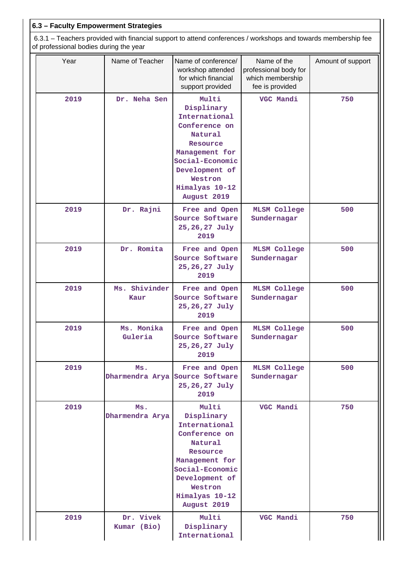## **6.3 – Faculty Empowerment Strategies**

 6.3.1 – Teachers provided with financial support to attend conferences / workshops and towards membership fee of professional bodies during the year

| Year | Name of Teacher                        | Name of conference/<br>workshop attended<br>for which financial<br>support provided                                                                                             | Name of the<br>professional body for<br>which membership<br>fee is provided | Amount of support |
|------|----------------------------------------|---------------------------------------------------------------------------------------------------------------------------------------------------------------------------------|-----------------------------------------------------------------------------|-------------------|
| 2019 | Dr. Neha Sen                           | Multi<br>Displinary<br>International<br>Conference on<br>Natural<br>Resource<br>Management for<br>Social-Economic<br>Development of<br>Westron<br>Himalyas 10-12<br>August 2019 | VGC Mandi                                                                   | 750               |
| 2019 | Dr. Rajni                              | Free and Open<br>Source Software<br>25, 26, 27 July<br>2019                                                                                                                     | <b>MLSM College</b><br>Sundernagar                                          | 500               |
| 2019 | Dr. Romita                             | Free and Open<br>Source Software<br>25, 26, 27 July<br>2019                                                                                                                     | <b>MLSM College</b><br>Sundernagar                                          | 500               |
| 2019 | Ms. Shivinder<br>Kaur                  | Free and Open<br>Source Software<br>25, 26, 27 July<br>2019                                                                                                                     | <b>MLSM College</b><br>Sundernagar                                          | 500               |
| 2019 | Ms. Monika<br>Guleria                  | Free and Open<br>Source Software<br>25, 26, 27 July<br>2019                                                                                                                     | <b>MLSM College</b><br>Sundernagar                                          | 500               |
| 2019 | Ms.<br>Dharmendra Arya Source Software | Free and Open<br>25, 26, 27 July<br>2019                                                                                                                                        | <b>MLSM College</b><br>Sundernagar                                          | 500               |
| 2019 | Ms.<br>Dharmendra Arya                 | Multi<br>Displinary<br>International<br>Conference on<br>Natural<br>Resource<br>Management for<br>Social-Economic<br>Development of<br>Westron<br>Himalyas 10-12<br>August 2019 | VGC Mandi                                                                   | 750               |
| 2019 | Dr. Vivek<br>Kumar (Bio)               | Multi<br>Displinary<br>International                                                                                                                                            | VGC Mandi                                                                   | 750               |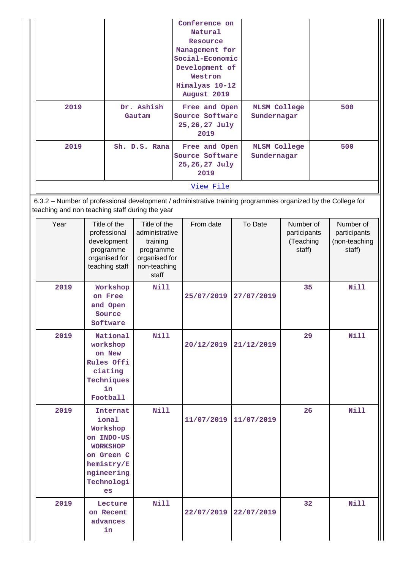|                                                                                                                                                                 |                                                                                                                              |                                                                                                   |                                                             | Conference on<br>Natural<br>Resource<br>Management for<br>Social-Economic<br>Development of<br>Westron<br>Himalyas 10-12<br>August 2019 |                                    |                                    |                                                  |                                                      |
|-----------------------------------------------------------------------------------------------------------------------------------------------------------------|------------------------------------------------------------------------------------------------------------------------------|---------------------------------------------------------------------------------------------------|-------------------------------------------------------------|-----------------------------------------------------------------------------------------------------------------------------------------|------------------------------------|------------------------------------|--------------------------------------------------|------------------------------------------------------|
| 2019                                                                                                                                                            |                                                                                                                              | Dr. Ashish<br>Gautam                                                                              | Free and Open<br>Source Software<br>25, 26, 27 July<br>2019 |                                                                                                                                         | <b>MLSM College</b><br>Sundernagar |                                    | 500                                              |                                                      |
| 2019                                                                                                                                                            |                                                                                                                              | Sh. D.S. Rana                                                                                     | Free and Open<br>Source Software<br>25, 26, 27 July<br>2019 |                                                                                                                                         |                                    | <b>MLSM College</b><br>Sundernagar |                                                  | 500                                                  |
|                                                                                                                                                                 |                                                                                                                              |                                                                                                   |                                                             | View File                                                                                                                               |                                    |                                    |                                                  |                                                      |
| 6.3.2 - Number of professional development / administrative training programmes organized by the College for<br>teaching and non teaching staff during the year |                                                                                                                              |                                                                                                   |                                                             |                                                                                                                                         |                                    |                                    |                                                  |                                                      |
| Year                                                                                                                                                            | Title of the<br>professional<br>development<br>programme<br>organised for<br>teaching staff                                  | Title of the<br>administrative<br>training<br>programme<br>organised for<br>non-teaching<br>staff |                                                             | From date                                                                                                                               |                                    | To Date                            | Number of<br>participants<br>(Teaching<br>staff) | Number of<br>participants<br>(non-teaching<br>staff) |
| 2019                                                                                                                                                            | Workshop<br>on Free<br>and Open<br>Source<br>Software                                                                        | <b>Nill</b>                                                                                       |                                                             | 25/07/2019                                                                                                                              |                                    | 27/07/2019                         | 35                                               | <b>Nill</b>                                          |
| 2019                                                                                                                                                            | National<br>workshop<br>on New<br>Rules Offi<br>ciating<br>Techniques<br>in<br>Football                                      | Nill                                                                                              |                                                             | 20/12/2019                                                                                                                              |                                    | 21/12/2019                         | 29                                               | <b>Nill</b>                                          |
| 2019                                                                                                                                                            | Internat<br>ional<br>Workshop<br>on INDO-US<br><b>WORKSHOP</b><br>on Green C<br>hemistry/E<br>ngineering<br>Technologi<br>es | Nill                                                                                              |                                                             | 11/07/2019                                                                                                                              |                                    | 11/07/2019                         | 26                                               | <b>Nill</b>                                          |
| 2019                                                                                                                                                            | Lecture<br>on Recent<br>advances<br>in                                                                                       | <b>Nill</b>                                                                                       |                                                             | 22/07/2019                                                                                                                              |                                    | 22/07/2019                         | 32 <sub>2</sub>                                  | Nill                                                 |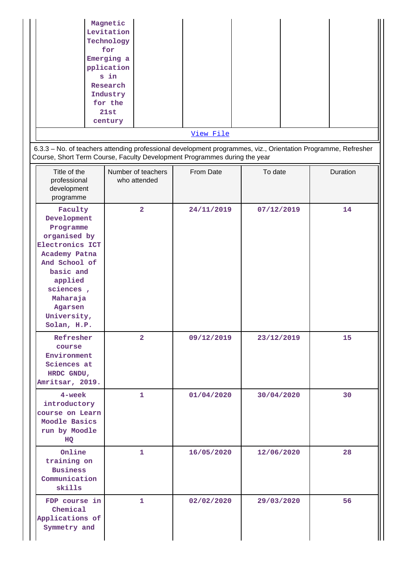| Magnetic                                                                                                      |
|---------------------------------------------------------------------------------------------------------------|
| Levitation                                                                                                    |
| Technology                                                                                                    |
| for                                                                                                           |
| Emerging a                                                                                                    |
| pplication                                                                                                    |
| s in                                                                                                          |
| Research                                                                                                      |
| Industry                                                                                                      |
| for the                                                                                                       |
| 21st                                                                                                          |
| century                                                                                                       |
| View File                                                                                                     |
| 6.3.3 – No. of teachers attending professional development programmes, viz., Orientation Programme, Refresher |

 6.3.3 – No. of teachers attending professional development programmes, viz., Orientation Programme, Refresher Course, Short Term Course, Faculty Development Programmes during the year

| Title of the<br>professional<br>development<br>programme                                                                                                                                           | Number of teachers<br>who attended | From Date  | To date    | Duration |
|----------------------------------------------------------------------------------------------------------------------------------------------------------------------------------------------------|------------------------------------|------------|------------|----------|
| Faculty<br>Development<br>Programme<br>organised by<br>Electronics ICT<br>Academy Patna<br>And School of<br>basic and<br>applied<br>sciences,<br>Maharaja<br>Agarsen<br>University,<br>Solan, H.P. | $\overline{2}$                     | 24/11/2019 | 07/12/2019 | 14       |
| Refresher<br>course<br>Environment<br>Sciences at<br>HRDC GNDU,<br>Amritsar, 2019.                                                                                                                 | $\overline{2}$                     | 09/12/2019 | 23/12/2019 | 15       |
| $4$ -week<br>introductory<br>course on Learn<br>Moodle Basics<br>run by Moodle<br>HQ                                                                                                               | $\mathbf{1}$                       | 01/04/2020 | 30/04/2020 | 30       |
| Online<br>training on<br><b>Business</b><br>Communication<br>skills                                                                                                                                | $\mathbf{1}$                       | 16/05/2020 | 12/06/2020 | 28       |
| FDP course in<br>Chemical<br>Applications of<br>Symmetry and                                                                                                                                       | $\mathbf{1}$                       | 02/02/2020 | 29/03/2020 | 56       |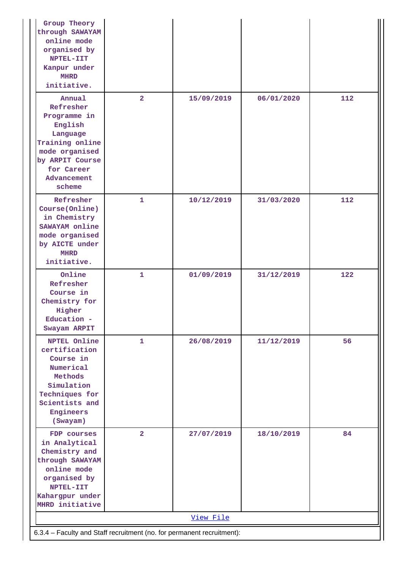| Group Theory<br>through SAWAYAM<br>online mode<br>organised by<br>NPTEL-IIT<br>Kanpur under<br><b>MHRD</b><br>initiative.                                 |                |            |            |     |
|-----------------------------------------------------------------------------------------------------------------------------------------------------------|----------------|------------|------------|-----|
| Annual<br>Refresher<br>Programme in<br>English<br>Language<br>Training online<br>mode organised<br>by ARPIT Course<br>for Career<br>Advancement<br>scheme | $\overline{a}$ | 15/09/2019 | 06/01/2020 | 112 |
| Refresher<br>Course(Online)<br>in Chemistry<br>SAWAYAM online<br>mode organised<br>by AICTE under<br><b>MHRD</b><br>initiative.                           | 1              | 10/12/2019 | 31/03/2020 | 112 |
| Online<br>Refresher<br>Course in<br>Chemistry for<br>Higher<br>Education -<br>Swayam ARPIT                                                                | 1              | 01/09/2019 | 31/12/2019 | 122 |
| <b>NPTEL Online</b><br>certification<br>Course in<br>Numerical<br>Methods<br>Simulation<br>Techniques for<br>Scientists and<br>Engineers<br>(Swayam)      | 1              | 26/08/2019 | 11/12/2019 | 56  |
| FDP courses<br>in Analytical<br>Chemistry and<br>through SAWAYAM<br>online mode<br>organised by<br>NPTEL-IIT<br>Kahargpur under<br>MHRD initiative        | $\overline{a}$ | 27/07/2019 | 18/10/2019 | 84  |
|                                                                                                                                                           |                | View File  |            |     |
| 6.3.4 - Faculty and Staff recruitment (no. for permanent recruitment):                                                                                    |                |            |            |     |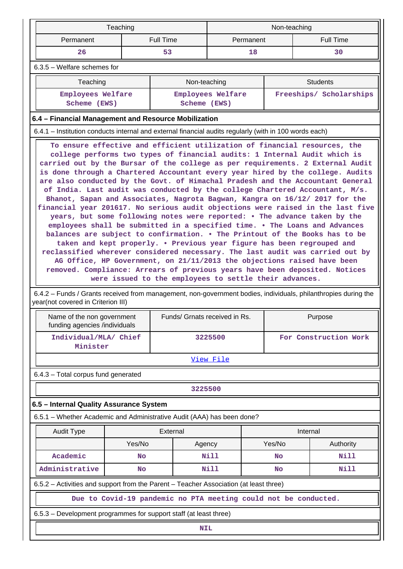|                                                                                                                                                                                                                                                                                                                                                                                                                                                                                                                                                                                                                                                                                                                                                                                                                                                                                                                                                                                                                                                                                                                                                                                                                                                                                                                                                                                                                                                 | Teaching |                                                                 |                   | Non-teaching |                         |  |
|-------------------------------------------------------------------------------------------------------------------------------------------------------------------------------------------------------------------------------------------------------------------------------------------------------------------------------------------------------------------------------------------------------------------------------------------------------------------------------------------------------------------------------------------------------------------------------------------------------------------------------------------------------------------------------------------------------------------------------------------------------------------------------------------------------------------------------------------------------------------------------------------------------------------------------------------------------------------------------------------------------------------------------------------------------------------------------------------------------------------------------------------------------------------------------------------------------------------------------------------------------------------------------------------------------------------------------------------------------------------------------------------------------------------------------------------------|----------|-----------------------------------------------------------------|-------------------|--------------|-------------------------|--|
| Permanent                                                                                                                                                                                                                                                                                                                                                                                                                                                                                                                                                                                                                                                                                                                                                                                                                                                                                                                                                                                                                                                                                                                                                                                                                                                                                                                                                                                                                                       |          | <b>Full Time</b>                                                | Permanent         |              | <b>Full Time</b>        |  |
| 26                                                                                                                                                                                                                                                                                                                                                                                                                                                                                                                                                                                                                                                                                                                                                                                                                                                                                                                                                                                                                                                                                                                                                                                                                                                                                                                                                                                                                                              | 53       |                                                                 | 18                |              | 30                      |  |
| $6.3.5$ – Welfare schemes for                                                                                                                                                                                                                                                                                                                                                                                                                                                                                                                                                                                                                                                                                                                                                                                                                                                                                                                                                                                                                                                                                                                                                                                                                                                                                                                                                                                                                   |          |                                                                 |                   |              |                         |  |
| Teaching                                                                                                                                                                                                                                                                                                                                                                                                                                                                                                                                                                                                                                                                                                                                                                                                                                                                                                                                                                                                                                                                                                                                                                                                                                                                                                                                                                                                                                        |          | Non-teaching                                                    |                   |              | <b>Students</b>         |  |
| Employees Welfare<br>Scheme (EWS)                                                                                                                                                                                                                                                                                                                                                                                                                                                                                                                                                                                                                                                                                                                                                                                                                                                                                                                                                                                                                                                                                                                                                                                                                                                                                                                                                                                                               |          | Scheme (EWS)                                                    | Employees Welfare |              | Freeships/ Scholarships |  |
| 6.4 - Financial Management and Resource Mobilization                                                                                                                                                                                                                                                                                                                                                                                                                                                                                                                                                                                                                                                                                                                                                                                                                                                                                                                                                                                                                                                                                                                                                                                                                                                                                                                                                                                            |          |                                                                 |                   |              |                         |  |
| 6.4.1 – Institution conducts internal and external financial audits regularly (with in 100 words each)                                                                                                                                                                                                                                                                                                                                                                                                                                                                                                                                                                                                                                                                                                                                                                                                                                                                                                                                                                                                                                                                                                                                                                                                                                                                                                                                          |          |                                                                 |                   |              |                         |  |
| To ensure effective and efficient utilization of financial resources, the<br>college performs two types of financial audits: 1 Internal Audit which is<br>carried out by the Bursar of the college as per requirements. 2 External Audit<br>is done through a Chartered Accountant every year hired by the college. Audits<br>are also conducted by the Govt. of Himachal Pradesh and the Accountant General<br>of India. Last audit was conducted by the college Chartered Accountant, M/s.<br>Bhanot, Sapan and Associates, Nagrota Bagwan, Kangra on 16/12/ 2017 for the<br>financial year 201617. No serious audit objections were raised in the last five<br>years, but some following notes were reported: . The advance taken by the<br>employees shall be submitted in a specified time. . The Loans and Advances<br>balances are subject to confirmation. . The Printout of the Books has to be<br>taken and kept properly. . Previous year figure has been regrouped and<br>reclassified wherever considered necessary. The last audit was carried out by<br>AG Office, HP Government, on 21/11/2013 the objections raised have been<br>removed. Compliance: Arrears of previous years have been deposited. Notices<br>were issued to the employees to settle their advances.<br>6.4.2 – Funds / Grants received from management, non-government bodies, individuals, philanthropies during the<br>year(not covered in Criterion III) |          |                                                                 |                   |              |                         |  |
| Name of the non government<br>funding agencies /individuals                                                                                                                                                                                                                                                                                                                                                                                                                                                                                                                                                                                                                                                                                                                                                                                                                                                                                                                                                                                                                                                                                                                                                                                                                                                                                                                                                                                     |          | Funds/ Grnats received in Rs.                                   |                   |              | Purpose                 |  |
| Individual/MLA/ Chief<br>Minister                                                                                                                                                                                                                                                                                                                                                                                                                                                                                                                                                                                                                                                                                                                                                                                                                                                                                                                                                                                                                                                                                                                                                                                                                                                                                                                                                                                                               |          |                                                                 | 3225500           |              | For Construction Work   |  |
|                                                                                                                                                                                                                                                                                                                                                                                                                                                                                                                                                                                                                                                                                                                                                                                                                                                                                                                                                                                                                                                                                                                                                                                                                                                                                                                                                                                                                                                 |          |                                                                 | View File         |              |                         |  |
| 6.4.3 - Total corpus fund generated                                                                                                                                                                                                                                                                                                                                                                                                                                                                                                                                                                                                                                                                                                                                                                                                                                                                                                                                                                                                                                                                                                                                                                                                                                                                                                                                                                                                             |          |                                                                 |                   |              |                         |  |
|                                                                                                                                                                                                                                                                                                                                                                                                                                                                                                                                                                                                                                                                                                                                                                                                                                                                                                                                                                                                                                                                                                                                                                                                                                                                                                                                                                                                                                                 |          | 3225500                                                         |                   |              |                         |  |
| 6.5 - Internal Quality Assurance System                                                                                                                                                                                                                                                                                                                                                                                                                                                                                                                                                                                                                                                                                                                                                                                                                                                                                                                                                                                                                                                                                                                                                                                                                                                                                                                                                                                                         |          |                                                                 |                   |              |                         |  |
| 6.5.1 - Whether Academic and Administrative Audit (AAA) has been done?                                                                                                                                                                                                                                                                                                                                                                                                                                                                                                                                                                                                                                                                                                                                                                                                                                                                                                                                                                                                                                                                                                                                                                                                                                                                                                                                                                          |          |                                                                 |                   |              |                         |  |
| <b>Audit Type</b>                                                                                                                                                                                                                                                                                                                                                                                                                                                                                                                                                                                                                                                                                                                                                                                                                                                                                                                                                                                                                                                                                                                                                                                                                                                                                                                                                                                                                               |          | External                                                        |                   |              | Internal                |  |
|                                                                                                                                                                                                                                                                                                                                                                                                                                                                                                                                                                                                                                                                                                                                                                                                                                                                                                                                                                                                                                                                                                                                                                                                                                                                                                                                                                                                                                                 | Yes/No   | Agency                                                          |                   | Yes/No       | Authority               |  |
| Academic                                                                                                                                                                                                                                                                                                                                                                                                                                                                                                                                                                                                                                                                                                                                                                                                                                                                                                                                                                                                                                                                                                                                                                                                                                                                                                                                                                                                                                        | No       |                                                                 | Nill              | <b>No</b>    | Nill                    |  |
| Administrative                                                                                                                                                                                                                                                                                                                                                                                                                                                                                                                                                                                                                                                                                                                                                                                                                                                                                                                                                                                                                                                                                                                                                                                                                                                                                                                                                                                                                                  | No       |                                                                 | Nill              | No           | Nill                    |  |
| 6.5.2 - Activities and support from the Parent - Teacher Association (at least three)                                                                                                                                                                                                                                                                                                                                                                                                                                                                                                                                                                                                                                                                                                                                                                                                                                                                                                                                                                                                                                                                                                                                                                                                                                                                                                                                                           |          |                                                                 |                   |              |                         |  |
|                                                                                                                                                                                                                                                                                                                                                                                                                                                                                                                                                                                                                                                                                                                                                                                                                                                                                                                                                                                                                                                                                                                                                                                                                                                                                                                                                                                                                                                 |          | Due to Covid-19 pandemic no PTA meeting could not be conducted. |                   |              |                         |  |
| 6.5.3 – Development programmes for support staff (at least three)                                                                                                                                                                                                                                                                                                                                                                                                                                                                                                                                                                                                                                                                                                                                                                                                                                                                                                                                                                                                                                                                                                                                                                                                                                                                                                                                                                               |          |                                                                 |                   |              |                         |  |
|                                                                                                                                                                                                                                                                                                                                                                                                                                                                                                                                                                                                                                                                                                                                                                                                                                                                                                                                                                                                                                                                                                                                                                                                                                                                                                                                                                                                                                                 |          | <b>NIL</b>                                                      |                   |              |                         |  |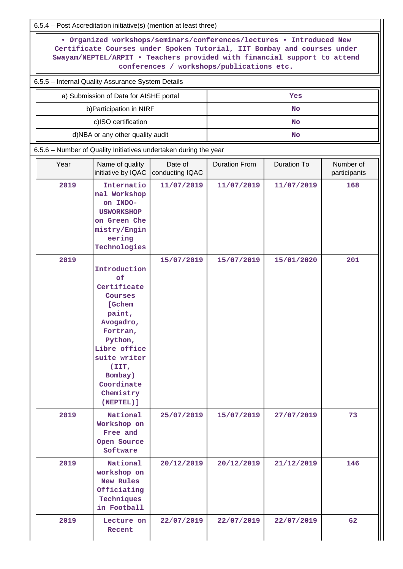|      | 6.5.4 - Post Accreditation initiative(s) (mention at least three)                                                                                                                                 |                            |                                                                                                                                                                                                                                                                          |                    |                           |
|------|---------------------------------------------------------------------------------------------------------------------------------------------------------------------------------------------------|----------------------------|--------------------------------------------------------------------------------------------------------------------------------------------------------------------------------------------------------------------------------------------------------------------------|--------------------|---------------------------|
|      |                                                                                                                                                                                                   |                            | • Organized workshops/seminars/conferences/lectures • Introduced New<br>Certificate Courses under Spoken Tutorial, IIT Bombay and courses under<br>Swayam/NEPTEL/ARPIT . Teachers provided with financial support to attend<br>conferences / workshops/publications etc. |                    |                           |
|      | 6.5.5 - Internal Quality Assurance System Details                                                                                                                                                 |                            |                                                                                                                                                                                                                                                                          |                    |                           |
|      | a) Submission of Data for AISHE portal                                                                                                                                                            |                            |                                                                                                                                                                                                                                                                          | Yes                |                           |
|      | b) Participation in NIRF                                                                                                                                                                          |                            |                                                                                                                                                                                                                                                                          | <b>No</b>          |                           |
|      | c)ISO certification                                                                                                                                                                               |                            |                                                                                                                                                                                                                                                                          | No                 |                           |
|      | d)NBA or any other quality audit                                                                                                                                                                  |                            |                                                                                                                                                                                                                                                                          | No                 |                           |
|      | 6.5.6 - Number of Quality Initiatives undertaken during the year                                                                                                                                  |                            |                                                                                                                                                                                                                                                                          |                    |                           |
| Year | Name of quality<br>initiative by IQAC                                                                                                                                                             | Date of<br>conducting IQAC | <b>Duration From</b>                                                                                                                                                                                                                                                     | <b>Duration To</b> | Number of<br>participants |
| 2019 | Internatio<br>nal Workshop<br>on INDO-<br><b>USWORKSHOP</b><br>on Green Che<br>mistry/Engin<br>eering<br>Technologies                                                                             | 11/07/2019                 | 11/07/2019                                                                                                                                                                                                                                                               | 11/07/2019         | 168                       |
| 2019 | Introduction<br>оf<br>Certificate<br>Courses<br>[Gchem<br>paint,<br>Avogadro,<br>Fortran,<br>Python,<br>Libre office<br>suite writer<br>(TIT,<br>Bombay)<br>Coordinate<br>Chemistry<br>(NEPTEL) ] | 15/07/2019                 | 15/07/2019                                                                                                                                                                                                                                                               | 15/01/2020         | 201                       |
| 2019 | National<br>Workshop on<br>Free and<br>Open Source<br>Software                                                                                                                                    | 25/07/2019                 | 15/07/2019                                                                                                                                                                                                                                                               | 27/07/2019         | 73                        |
| 2019 | National<br>workshop on<br>New Rules<br>Officiating<br>Techniques<br>in Football                                                                                                                  | 20/12/2019                 | 20/12/2019                                                                                                                                                                                                                                                               | 21/12/2019         | 146                       |
| 2019 | Lecture on<br>Recent                                                                                                                                                                              | 22/07/2019                 | 22/07/2019                                                                                                                                                                                                                                                               | 22/07/2019         | 62                        |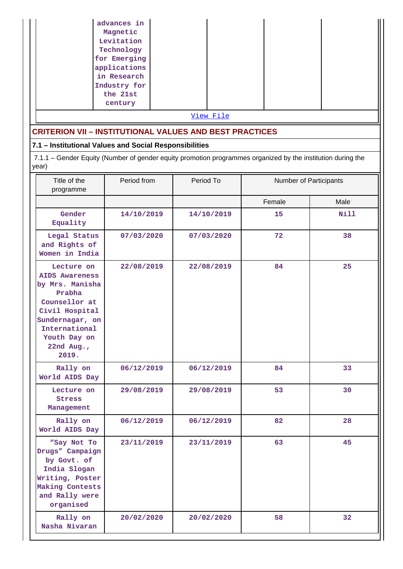| advances in  |  |  |
|--------------|--|--|
| Magnetic     |  |  |
| Levitation   |  |  |
| Technology   |  |  |
| for Emerging |  |  |
| applications |  |  |
| in Research  |  |  |
| Industry for |  |  |
| the 21st     |  |  |
| century      |  |  |

[View File](https://assessmentonline.naac.gov.in/public/Postacc/Quality_Initiatives_B/11377_Quality_Initiatives_B_1630054061.xlsx)

# **CRITERION VII – INSTITUTIONAL VALUES AND BEST PRACTICES**

# **7.1 – Institutional Values and Social Responsibilities**

 7.1.1 – Gender Equity (Number of gender equity promotion programmes organized by the institution during the year)

| Title of the<br>programme                                                                                                                                                      | Period from | Period To  | Number of Participants |             |
|--------------------------------------------------------------------------------------------------------------------------------------------------------------------------------|-------------|------------|------------------------|-------------|
|                                                                                                                                                                                |             |            | Female                 | Male        |
| Gender<br>Equality                                                                                                                                                             | 14/10/2019  | 14/10/2019 | 15                     | <b>Nill</b> |
| Legal Status<br>and Rights of<br>Women in India                                                                                                                                | 07/03/2020  | 07/03/2020 | 72                     | 38          |
| Lecture on<br><b>AIDS Awareness</b><br>by Mrs. Manisha<br>Prabha<br>Counsellor at<br>Civil Hospital<br>Sundernagar, on<br>International<br>Youth Day on<br>22nd Aug.,<br>2019. | 22/08/2019  | 22/08/2019 | 84                     | 25          |
| Rally on<br>World AIDS Day                                                                                                                                                     | 06/12/2019  | 06/12/2019 | 84                     | 33          |
| Lecture on<br><b>Stress</b><br>Management                                                                                                                                      | 29/08/2019  | 29/08/2019 | 53                     | 30          |
| Rally on<br>World AIDS Day                                                                                                                                                     | 06/12/2019  | 06/12/2019 | 82                     | 28          |
| "Say Not To<br>Drugs" Campaign<br>by Govt. of<br>India Slogan<br>Writing, Poster<br>Making Contests<br>and Rally were<br>organised                                             | 23/11/2019  | 23/11/2019 | 63                     | 45          |
| Rally on<br>Nasha Nivaran                                                                                                                                                      | 20/02/2020  | 20/02/2020 | 58                     | 32          |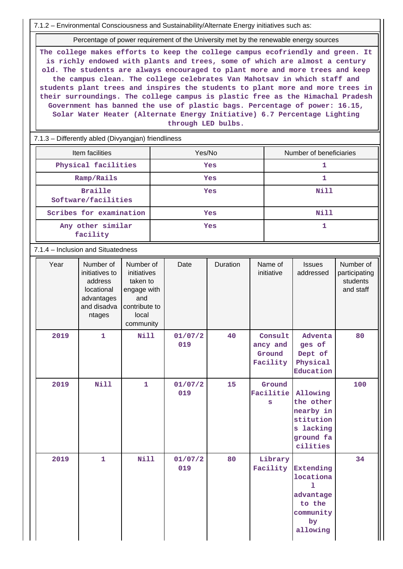7.1.2 – Environmental Consciousness and Sustainability/Alternate Energy initiatives such as:

Percentage of power requirement of the University met by the renewable energy sources

**The college makes efforts to keep the college campus ecofriendly and green. It is richly endowed with plants and trees, some of which are almost a century old. The students are always encouraged to plant more and more trees and keep the campus clean. The college celebrates Van Mahotsav in which staff and students plant trees and inspires the students to plant more and more trees in their surroundings. The college campus is plastic free as the Himachal Pradesh Government has banned the use of plastic bags. Percentage of power: 16.15, Solar Water Heater (Alternate Energy Initiative) 6.7 Percentage Lighting through LED bulbs.**

7.1.3 – Differently abled (Divyangjan) friendliness

| Item facilities                       | Yes/No | Number of beneficiaries |
|---------------------------------------|--------|-------------------------|
| Physical facilities                   | Yes    |                         |
| Ramp/Rails                            | Yes    |                         |
| <b>Braille</b><br>Software/facilities | Yes    | <b>Nill</b>             |
| Scribes for examination               | Yes    | Nill                    |
| Any other similar<br>facility         | Yes    |                         |

#### 7.1.4 – Inclusion and Situatedness

| Year | Number of<br>initiatives to<br>address<br>locational<br>advantages<br>and disadva<br>ntages | Number of<br>initiatives<br>taken to<br>engage with<br>and<br>contribute to<br>local<br>community | Date           | <b>Duration</b> | Name of<br>initiative                     | <b>Issues</b><br>addressed                                                            | Number of<br>participating<br>students<br>and staff |
|------|---------------------------------------------------------------------------------------------|---------------------------------------------------------------------------------------------------|----------------|-----------------|-------------------------------------------|---------------------------------------------------------------------------------------|-----------------------------------------------------|
| 2019 | $\mathbf{1}$                                                                                | <b>Nill</b>                                                                                       | 01/07/2<br>019 | 40              | Consult<br>ancy and<br>Ground<br>Facility | Adventa<br>ges of<br>Dept of<br>Physical<br>Education                                 | 80                                                  |
| 2019 | <b>Nill</b>                                                                                 | $\mathbf{1}$                                                                                      | 01/07/2<br>019 | 15              | Ground<br>Facilitie<br>S                  | Allowing<br>the other<br>nearby in<br>stitution<br>s lacking<br>ground fa<br>cilities | 100                                                 |
| 2019 | $\mathbf{1}$                                                                                | <b>Nill</b>                                                                                       | 01/07/2<br>019 | 80              | Library<br>Facility                       | Extending<br>locationa<br>ı.<br>advantage<br>to the<br>community<br>by<br>allowing    | 34                                                  |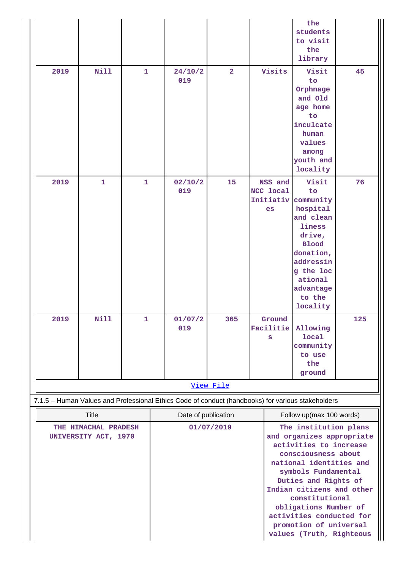|                                                              |              |    |                                                                                                   |                         |                                         | the<br>students<br>to visit<br>the<br>library                                                                                                                                                                                                                                                                                                                       |     |
|--------------------------------------------------------------|--------------|----|---------------------------------------------------------------------------------------------------|-------------------------|-----------------------------------------|---------------------------------------------------------------------------------------------------------------------------------------------------------------------------------------------------------------------------------------------------------------------------------------------------------------------------------------------------------------------|-----|
| 2019                                                         | Nill         | 1  | 24/10/2<br>019                                                                                    | $\overline{\mathbf{2}}$ | Visits                                  | Visit<br>to<br>Orphnage<br>and Old<br>age home<br>to<br>inculcate<br>human<br>values<br>among<br>youth and<br>locality                                                                                                                                                                                                                                              | 45  |
| 2019                                                         | $\mathbf{1}$ | 1  | 02/10/2<br>019                                                                                    | 15                      | NSS and<br>NCC local<br>Initiativ<br>es | Visit<br>to<br>community<br>hospital<br>and clean<br>liness<br>drive,<br><b>Blood</b><br>donation,<br>addressin<br>g the loc<br>ational<br>advantage<br>to the<br>locality                                                                                                                                                                                          | 76  |
| 2019                                                         | N11          | 1. | 01/07/2<br>019                                                                                    | 365                     | Ground<br>Facilitie Allowing<br>s       | <b>local</b><br>community<br>to use<br>the<br>ground                                                                                                                                                                                                                                                                                                                | 125 |
|                                                              |              |    |                                                                                                   | View File               |                                         |                                                                                                                                                                                                                                                                                                                                                                     |     |
|                                                              |              |    | 7.1.5 - Human Values and Professional Ethics Code of conduct (handbooks) for various stakeholders |                         |                                         |                                                                                                                                                                                                                                                                                                                                                                     |     |
| <b>Title</b><br>THE HIMACHAL PRADESH<br>UNIVERSITY ACT, 1970 |              |    | Date of publication                                                                               | 01/07/2019              |                                         | Follow up(max 100 words)<br>The institution plans<br>and organizes appropriate<br>activities to increase<br>consciousness about<br>national identities and<br>symbols Fundamental<br>Duties and Rights of<br>Indian citizens and other<br>constitutional<br>obligations Number of<br>activities conducted for<br>promotion of universal<br>values (Truth, Righteous |     |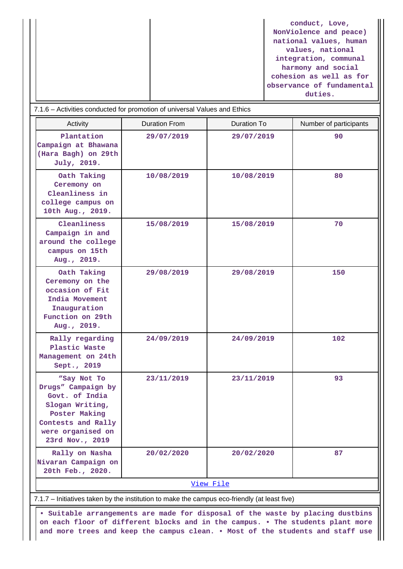**conduct, Love, NonViolence and peace) national values, human values, national integration, communal harmony and social cohesion as well as for observance of fundamental duties.**

| 7.1.6 - Activities conducted for promotion of universal Values and Ethics                                                                             |                      |             |                        |  |  |  |
|-------------------------------------------------------------------------------------------------------------------------------------------------------|----------------------|-------------|------------------------|--|--|--|
| Activity                                                                                                                                              | <b>Duration From</b> | Duration To | Number of participants |  |  |  |
| Plantation<br>Campaign at Bhawana<br>(Hara Bagh) on 29th<br>July, 2019.                                                                               | 29/07/2019           | 29/07/2019  | 90                     |  |  |  |
| Oath Taking<br>Ceremony on<br>Cleanliness in<br>college campus on<br>10th Aug., 2019.                                                                 | 10/08/2019           | 10/08/2019  | 80                     |  |  |  |
| Cleanliness<br>Campaign in and<br>around the college<br>campus on 15th<br>Aug., 2019.                                                                 | 15/08/2019           | 15/08/2019  | 70                     |  |  |  |
| Oath Taking<br>Ceremony on the<br>occasion of Fit<br>India Movement<br>Inauguration<br>Function on 29th<br>Aug., 2019.                                | 29/08/2019           | 29/08/2019  | 150                    |  |  |  |
| Rally regarding<br>Plastic Waste<br>Management on 24th<br>Sept., 2019                                                                                 | 24/09/2019           | 24/09/2019  | 102                    |  |  |  |
| "Say Not To<br>Drugs" Campaign by<br>Govt. of India<br>Slogan Writing,<br>Poster Making<br>Contests and Rally<br>were organised on<br>23rd Nov., 2019 | 23/11/2019           | 23/11/2019  | 93                     |  |  |  |
| Rally on Nasha<br>Nivaran Campaign on<br>20th Feb., 2020.                                                                                             | 20/02/2020           | 20/02/2020  | 87                     |  |  |  |
| View File                                                                                                                                             |                      |             |                        |  |  |  |
| 7.1.7 - Initiatives taken by the institution to make the campus eco-friendly (at least five)                                                          |                      |             |                        |  |  |  |

 **• Suitable arrangements are made for disposal of the waste by placing dustbins on each floor of different blocks and in the campus. • The students plant more**

**and more trees and keep the campus clean. • Most of the students and staff use**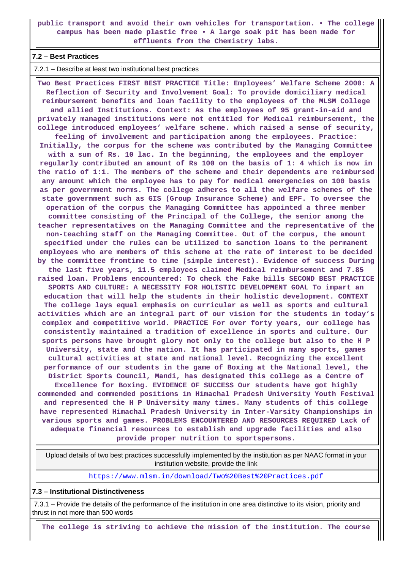## **public transport and avoid their own vehicles for transportation. • The college campus has been made plastic free • A large soak pit has been made for effluents from the Chemistry labs.**

## **7.2 – Best Practices**

#### 7.2.1 – Describe at least two institutional best practices

 **Two Best Practices FIRST BEST PRACTICE Title: Employees' Welfare Scheme 2000: A Reflection of Security and Involvement Goal: To provide domiciliary medical reimbursement benefits and loan facility to the employees of the MLSM College and allied Institutions. Context: As the employees of 95 grant-in-aid and privately managed institutions were not entitled for Medical reimbursement, the college introduced employees' welfare scheme. which raised a sense of security, feeling of involvement and participation among the employees. Practice: Initially, the corpus for the scheme was contributed by the Managing Committee with a sum of Rs. 10 lac. In the beginning, the employees and the employer regularly contributed an amount of Rs 100 on the basis of 1: 4 which is now in the ratio of 1:1. The members of the scheme and their dependents are reimbursed any amount which the employee has to pay for medical emergencies on 100 basis as per government norms. The college adheres to all the welfare schemes of the state government such as GIS (Group Insurance Scheme) and EPF. To oversee the operation of the corpus the Managing Committee has appointed a three member committee consisting of the Principal of the College, the senior among the teacher representatives on the Managing Committee and the representative of the non-teaching staff on the Managing Committee. Out of the corpus, the amount specified under the rules can be utilized to sanction loans to the permanent employees who are members of this scheme at the rate of interest to be decided by the committee fromtime to time (simple interest). Evidence of success During the last five years, 11.5 employees claimed Medical reimbursement and 7.85 raised loan. Problems encountered: To check the Fake bills SECOND BEST PRACTICE SPORTS AND CULTURE: A NECESSITY FOR HOLISTIC DEVELOPMENT GOAL To impart an education that will help the students in their holistic development. CONTEXT The college lays equal emphasis on curricular as well as sports and cultural activities which are an integral part of our vision for the students in today's complex and competitive world. PRACTICE For over forty years, our college has consistently maintained a tradition of excellence in sports and culture. Our sports persons have brought glory not only to the college but also to the H P University, state and the nation. It has participated in many sports, games cultural activities at state and national level. Recognizing the excellent performance of our students in the game of Boxing at the National level, the District Sports Council, Mandi, has designated this college as a Centre of Excellence for Boxing. EVIDENCE OF SUCCESS Our students have got highly commended and commended positions in Himachal Pradesh University Youth Festival and represented the H P University many times. Many students of this college have represented Himachal Pradesh University in Inter-Varsity Championships in various sports and games. PROBLEMS ENCOUNTERED AND RESOURCES REQUIRED Lack of adequate financial resources to establish and upgrade facilities and also provide proper nutrition to sportspersons.**

 Upload details of two best practices successfully implemented by the institution as per NAAC format in your institution website, provide the link

<https://www.mlsm.in/download/Two%20Best%20Practices.pdf>

#### **7.3 – Institutional Distinctiveness**

 7.3.1 – Provide the details of the performance of the institution in one area distinctive to its vision, priority and thrust in not more than 500 words

**The college is striving to achieve the mission of the institution. The course**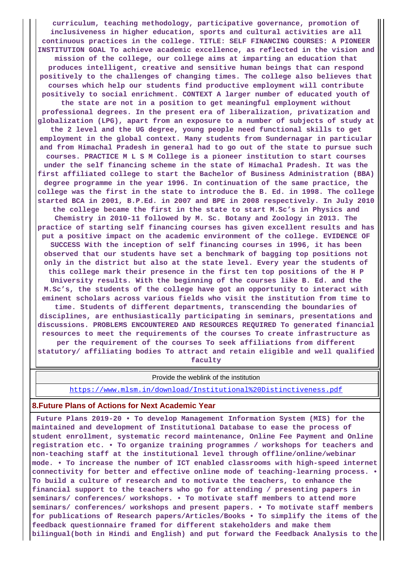**curriculum, teaching methodology, participative governance, promotion of inclusiveness in higher education, sports and cultural activities are all continuous practices in the college. TITLE: SELF FINANCING COURSES: A PIONEER INSTITUTION GOAL To achieve academic excellence, as reflected in the vision and mission of the college, our college aims at imparting an education that produces intelligent, creative and sensitive human beings that can respond positively to the challenges of changing times. The college also believes that courses which help our students find productive employment will contribute positively to social enrichment. CONTEXT A larger number of educated youth of the state are not in a position to get meaningful employment without professional degrees. In the present era of liberalization, privatization and globalization (LPG), apart from an exposure to a number of subjects of study at the 2 level and the UG degree, young people need functional skills to get employment in the global context. Many students from Sundernagar in particular and from Himachal Pradesh in general had to go out of the state to pursue such courses. PRACTICE M L S M College is a pioneer institution to start courses under the self financing scheme in the state of Himachal Pradesh. It was the first affiliated college to start the Bachelor of Business Administration (BBA) degree programme in the year 1996. In continuation of the same practice, the college was the first in the state to introduce the B. Ed. in 1998. The college started BCA in 2001, B.P.Ed. in 2007 and BPE in 2008 respectively. In July 2010 the college became the first in the state to start M.Sc's in Physics and Chemistry in 2010-11 followed by M. Sc. Botany and Zoology in 2013. The practice of starting self financing courses has given excellent results and has put a positive impact on the academic environment of the college. EVIDENCE OF SUCCESS With the inception of self financing courses in 1996, it has been observed that our students have set a benchmark of bagging top positions not only in the district but also at the state level. Every year the students of this college mark their presence in the first ten top positions of the H P University results. With the beginning of the courses like B. Ed. and the M.Sc's, the students of the college have got an opportunity to interact with eminent scholars across various fields who visit the institution from time to time. Students of different departments, transcending the boundaries of disciplines, are enthusiastically participating in seminars, presentations and discussions. PROBLEMS ENCOUNTERED AND RESOURCES REQUIRED To generated financial resources to meet the requirements of the courses To create infrastructure as per the requirement of the courses To seek affiliations from different statutory/ affiliating bodies To attract and retain eligible and well qualified**

**faculty**

Provide the weblink of the institution

<https://www.mlsm.in/download/Institutional%20Distinctiveness.pdf>

## **8.Future Plans of Actions for Next Academic Year**

 **Future Plans 2019-20 • To develop Management Information System (MIS) for the maintained and development of Institutional Database to ease the process of student enrollment, systematic record maintenance, Online Fee Payment and Online registration etc. • To organize training programmes / workshops for teachers and non-teaching staff at the institutional level through offline/online/webinar mode. • To increase the number of ICT enabled classrooms with high-speed internet connectivity for better and effective online mode of teaching-learning process. • To build a culture of research and to motivate the teachers, to enhance the financial support to the teachers who go for attending / presenting papers in seminars/ conferences/ workshops. • To motivate staff members to attend more seminars/ conferences/ workshops and present papers. • To motivate staff members for publications of Research papers/Articles/Books • To simplify the items of the feedback questionnaire framed for different stakeholders and make them bilingual(both in Hindi and English) and put forward the Feedback Analysis to the**